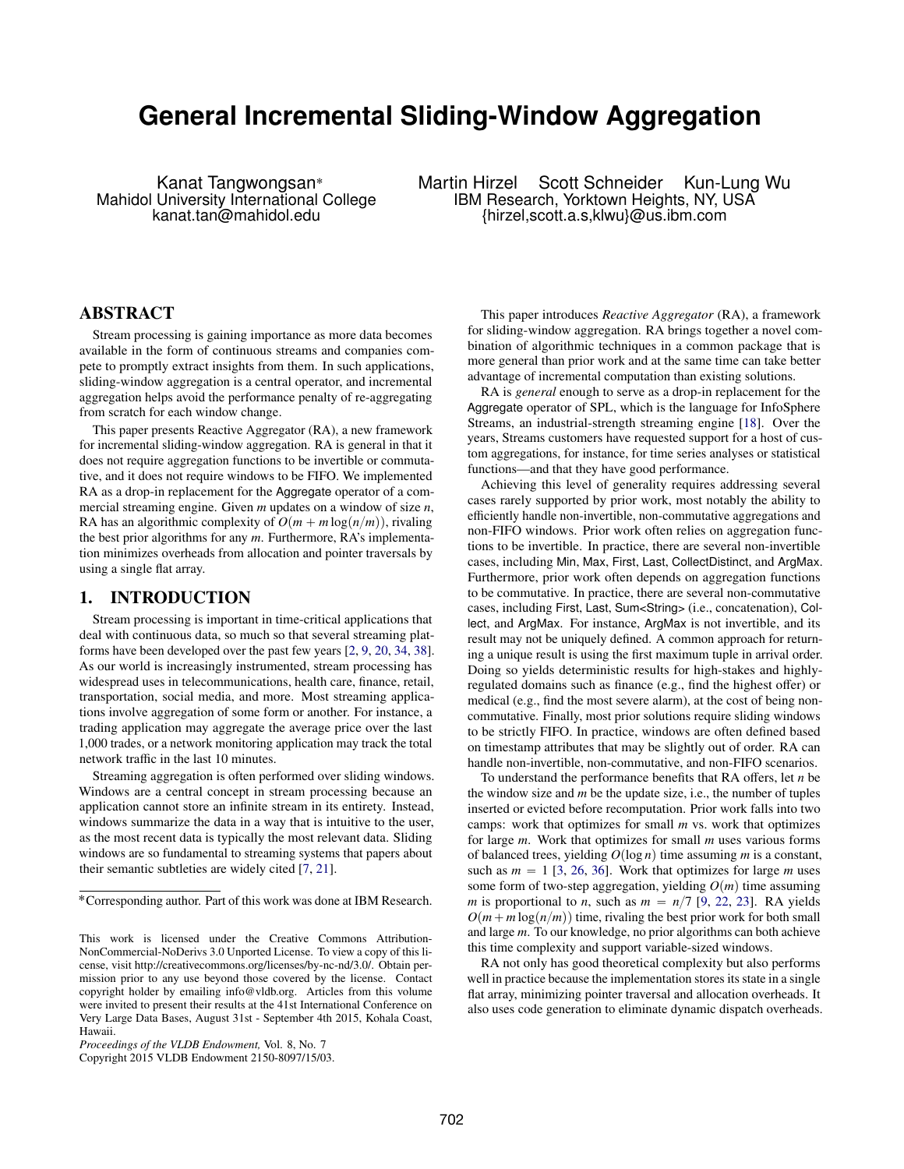# **General Incremental Sliding-Window Aggregation**

Kanat Tangwongsan<sup>\*</sup> Martin Hirzel Scott Schneider Kun-Lung Wu<br>Mahidol University International College IBM Research, Yorktown Heights, NY, USA IBM Research, Yorktown Heights, NY, USA kanat.tan@mahidol.edu {hirzel,scott.a.s,klwu}@us.ibm.com

## ABSTRACT

Stream processing is gaining importance as more data becomes available in the form of continuous streams and companies compete to promptly extract insights from them. In such applications, sliding-window aggregation is a central operator, and incremental aggregation helps avoid the performance penalty of re-aggregating from scratch for each window change.

This paper presents Reactive Aggregator (RA), a new framework for incremental sliding-window aggregation. RA is general in that it does not require aggregation functions to be invertible or commutative, and it does not require windows to be FIFO. We implemented RA as a drop-in replacement for the Aggregate operator of a commercial streaming engine. Given *m* updates on a window of size *n*, RA has an algorithmic complexity of  $O(m + m \log(n/m))$ , rivaling the best prior algorithms for any *m*. Furthermore, RA's implementation minimizes overheads from allocation and pointer traversals by using a single flat array.

## 1. INTRODUCTION

Stream processing is important in time-critical applications that deal with continuous data, so much so that several streaming platforms have been developed over the past few years [\[2,](#page-11-0) [9,](#page-11-1) [20,](#page-11-2) [34,](#page-11-3) [38\]](#page-11-4). As our world is increasingly instrumented, stream processing has widespread uses in telecommunications, health care, finance, retail, transportation, social media, and more. Most streaming applications involve aggregation of some form or another. For instance, a trading application may aggregate the average price over the last 1,000 trades, or a network monitoring application may track the total network traffic in the last 10 minutes.

Streaming aggregation is often performed over sliding windows. Windows are a central concept in stream processing because an application cannot store an infinite stream in its entirety. Instead, windows summarize the data in a way that is intuitive to the user, as the most recent data is typically the most relevant data. Sliding windows are so fundamental to streaming systems that papers about their semantic subtleties are widely cited [\[7,](#page-11-5) [21\]](#page-11-6).

Copyright 2015 VLDB Endowment 2150-8097/15/03.

This paper introduces *Reactive Aggregator* (RA), a framework for sliding-window aggregation. RA brings together a novel combination of algorithmic techniques in a common package that is more general than prior work and at the same time can take better advantage of incremental computation than existing solutions.

RA is *general* enough to serve as a drop-in replacement for the Aggregate operator of SPL, which is the language for InfoSphere Streams, an industrial-strength streaming engine [\[18\]](#page-11-7). Over the years, Streams customers have requested support for a host of custom aggregations, for instance, for time series analyses or statistical functions—and that they have good performance.

Achieving this level of generality requires addressing several cases rarely supported by prior work, most notably the ability to efficiently handle non-invertible, non-commutative aggregations and non-FIFO windows. Prior work often relies on aggregation functions to be invertible. In practice, there are several non-invertible cases, including Min, Max, First, Last, CollectDistinct, and ArgMax. Furthermore, prior work often depends on aggregation functions to be commutative. In practice, there are several non-commutative cases, including First, Last, Sum<String> (i.e., concatenation), Collect, and ArgMax. For instance, ArgMax is not invertible, and its result may not be uniquely defined. A common approach for returning a unique result is using the first maximum tuple in arrival order. Doing so yields deterministic results for high-stakes and highlyregulated domains such as finance (e.g., find the highest offer) or medical (e.g., find the most severe alarm), at the cost of being noncommutative. Finally, most prior solutions require sliding windows to be strictly FIFO. In practice, windows are often defined based on timestamp attributes that may be slightly out of order. RA can handle non-invertible, non-commutative, and non-FIFO scenarios.

To understand the performance benefits that RA offers, let *n* be the window size and *m* be the update size, i.e., the number of tuples inserted or evicted before recomputation. Prior work falls into two camps: work that optimizes for small *m* vs. work that optimizes for large *m*. Work that optimizes for small *m* uses various forms of balanced trees, yielding  $O(\log n)$  time assuming *m* is a constant, such as  $m = 1$  [\[3,](#page-11-8) [26,](#page-11-9) [36\]](#page-11-10). Work that optimizes for large *m* uses some form of two-step aggregation, yielding  $O(m)$  time assuming *m* is proportional to *n*, such as  $m = n/7$  [\[9,](#page-11-1) [22,](#page-11-11) [23\]](#page-11-12). RA yields  $O(m + m \log(n/m))$  time, rivaling the best prior work for both small and large *m*. To our knowledge, no prior algorithms can both achieve this time complexity and support variable-sized windows.

RA not only has good theoretical complexity but also performs well in practice because the implementation stores its state in a single flat array, minimizing pointer traversal and allocation overheads. It also uses code generation to eliminate dynamic dispatch overheads.

<sup>˚</sup>Corresponding author. Part of this work was done at IBM Research.

This work is licensed under the Creative Commons Attribution-NonCommercial-NoDerivs 3.0 Unported License. To view a copy of this license, visit http://creativecommons.org/licenses/by-nc-nd/3.0/. Obtain permission prior to any use beyond those covered by the license. Contact copyright holder by emailing info@vldb.org. Articles from this volume were invited to present their results at the 41st International Conference on Very Large Data Bases, August 31st - September 4th 2015, Kohala Coast, Hawaii.

*Proceedings of the VLDB Endowment,* Vol. 8, No. 7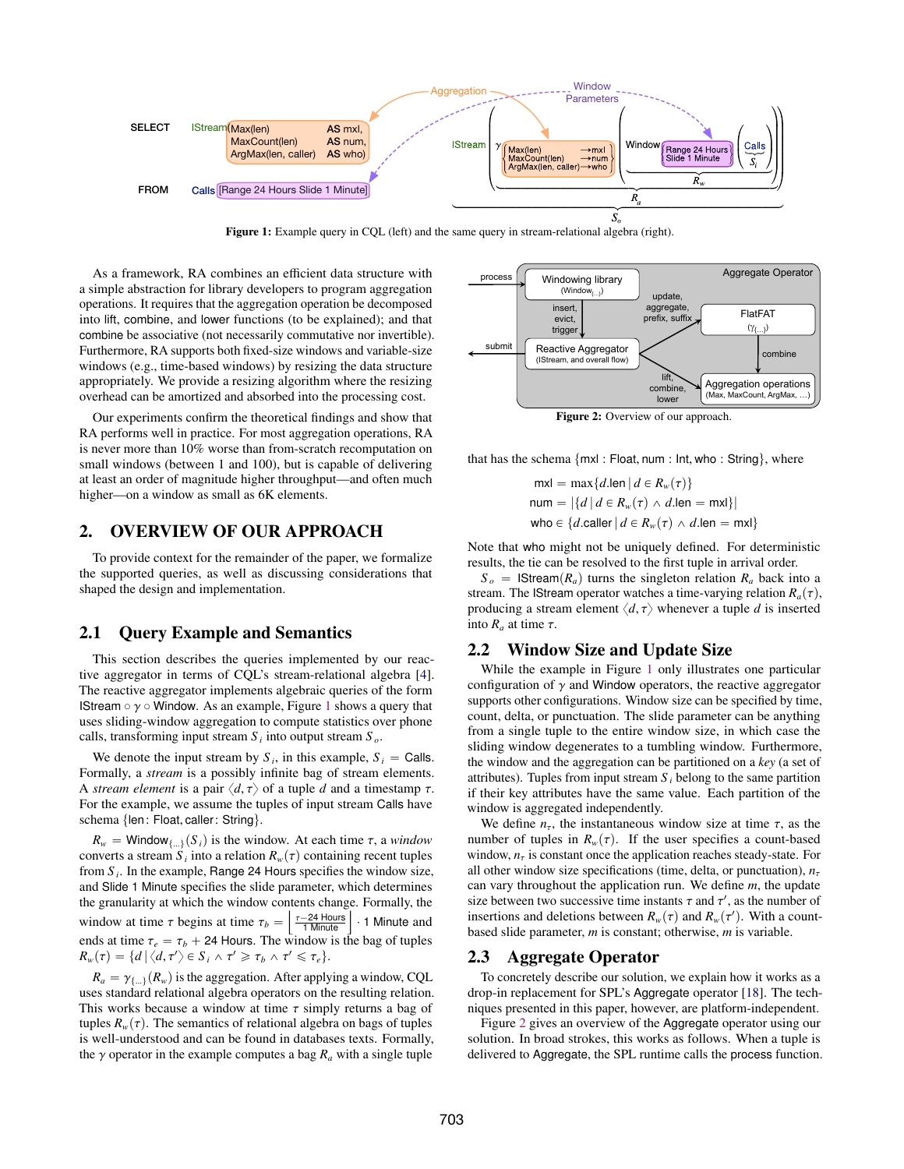<span id="page-1-0"></span>

Figure 1: Example query in CQL (left) and the same query in stream-relational algebra (right).

As a framework, RA combines an efficient data structure with a simple abstraction for library developers to program aggregation operations. It requires that the aggregation operation be decomposed into lift, combine, and lower functions (to be explained); and that combine be associative (not necessarily commutative nor invertible). Furthermore, RA supports both fixed-size windows and variable-size windows (e.g., time-based windows) by resizing the data structure appropriately. We provide a resizing algorithm where the resizing overhead can be amortized and absorbed into the processing cost.

Our experiments confirm the theoretical findings and show that RA performs well in practice. For most aggregation operations, RA is never more than 10% worse than from-scratch recomputation on small windows (between 1 and 100), but is capable of delivering at least an order of magnitude higher throughput—and often much higher—on a window as small as 6K elements.

## 2. OVERVIEW OF OUR APPROACH

To provide context for the remainder of the paper, we formalize the supported queries, as well as discussing considerations that shaped the design and implementation.

## 2.1 Query Example and Semantics

This section describes the queries implemented by our reactive aggregator in terms of CQL's stream-relational algebra [\[4\]](#page-11-13). The reactive aggregator implements algebraic queries of the form IStream  $\circ \gamma \circ$  Window. As an example, Figure [1](#page-1-0) shows a query that uses sliding-window aggregation to compute statistics over phone calls, transforming input stream *S <sup>i</sup>* into output stream *S <sup>o</sup>*.

We denote the input stream by  $S_i$ , in this example,  $S_i$  = Calls. Formally, a *stream* is a possibly infinite bag of stream elements. A *stream element* is a pair  $\langle d, \tau \rangle$  of a tuple *d* and a timestamp  $\tau$ . For the example, we assume the tuples of input stream Calls have schema {len: Float, caller: String}.

 $R_w$  = Window<sub>{...}</sub>  $(S_i)$  is the window. At each time  $\tau$ , a *window* converts a stream  $S_i$  into a relation  $R_w(\tau)$  containing recent tuples<br>from  $S_i$ . In the example, Bange 24 Hours specifies the window size from *S <sup>i</sup>* . In the example, Range 24 Hours specifies the window size, and Slide 1 Minute specifies the slide parameter, which determines the granularity at which the window contents change. Formally, the the granularity at which the window contents change. Formally, the<br>window at time  $\tau$  begins at time  $\tau_b = \left[\frac{\tau - 24 \text{ hours}}{1 \text{ minute}}\right] \cdot 1$  Minute and<br>and a time  $\tau_b = 1.94 \text{ hours}$ . The unique time the hospitalization ends at time  $\tau_e = \tau_b + 24$  Hours. The window is the bag of tuples  $R_w(\tau) = \{d \, | \, \langle d, \tau' \rangle \in S_i \land \tau' \geqslant \tau_b \land \tau' \leqslant \tau_e\}.$ 

 $R_a = \gamma_{\{-1\}}(R_w)$  is the aggregation. After applying a window, CQL uses standard relational algebra operators on the resulting relation. This works because a window at time  $\tau$  simply returns a bag of tuples  $R_w(\tau)$ . The semantics of relational algebra on bags of tuples is well-understood and can be found in databases texts. Formally, the  $\gamma$  operator in the example computes a bag  $R_a$  with a single tuple

<span id="page-1-1"></span>

Figure 2: Overview of our approach.

that has the schema  $\{mxl : Float, num : Int, who : String\}$ , where

 $mxl = max{d$ .len  $d \in R_w(\tau)$  $num = |\{d \mid d \in R_w(\tau) \land d$ .len = mxl who  $\in \{d$ .caller  $| d \in R_w(\tau) \wedge d$ .len  $=$  mxl $\}$ 

Note that who might not be uniquely defined. For deterministic results, the tie can be resolved to the first tuple in arrival order.

 $S_o$  = *IStream* $(R_a)$  turns the singleton relation  $R_a$  back into a stream. The IStream operator watches a time-varying relation  $R_a(\tau)$ , producing a stream element  $\langle d, \tau \rangle$  whenever a tuple *d* is inserted into  $R_a$  at time  $\tau$ .

## <span id="page-1-2"></span>2.2 Window Size and Update Size

While the example in Figure [1](#page-1-0) only illustrates one particular configuration of  $\gamma$  and Window operators, the reactive aggregator supports other configurations. Window size can be specified by time, count, delta, or punctuation. The slide parameter can be anything from a single tuple to the entire window size, in which case the sliding window degenerates to a tumbling window. Furthermore, the window and the aggregation can be partitioned on a *key* (a set of attributes). Tuples from input stream  $S_i$  belong to the same partition if their key attributes have the same value. Each partition of the window is aggregated independently.

We define  $n_{\tau}$ , the instantaneous window size at time  $\tau$ , as the number of tuples in  $R_w(\tau)$ . If the user specifies a count-based window,  $n<sub>\tau</sub>$  is constant once the application reaches steady-state. For all other window size specifications (time, delta, or punctuation),  $n<sub>τ</sub>$ can vary throughout the application run. We define *m*, the update size between two successive time instants  $\tau$  and  $\tau'$ , as the number of insertions and deletions between  $R(\tau)$  and  $R(\tau')$ . With a countinsertions and deletions between  $R_w(\tau)$  and  $R_w(\tau')$ . With a count-<br>hased slide parameter *m* is constant; otherwise *m* is variable based slide parameter, *m* is constant; otherwise, *m* is variable.

#### 2.3 Aggregate Operator

To concretely describe our solution, we explain how it works as a drop-in replacement for SPL's Aggregate operator [\[18\]](#page-11-7). The techniques presented in this paper, however, are platform-independent.

Figure [2](#page-1-1) gives an overview of the Aggregate operator using our solution. In broad strokes, this works as follows. When a tuple is delivered to Aggregate, the SPL runtime calls the process function.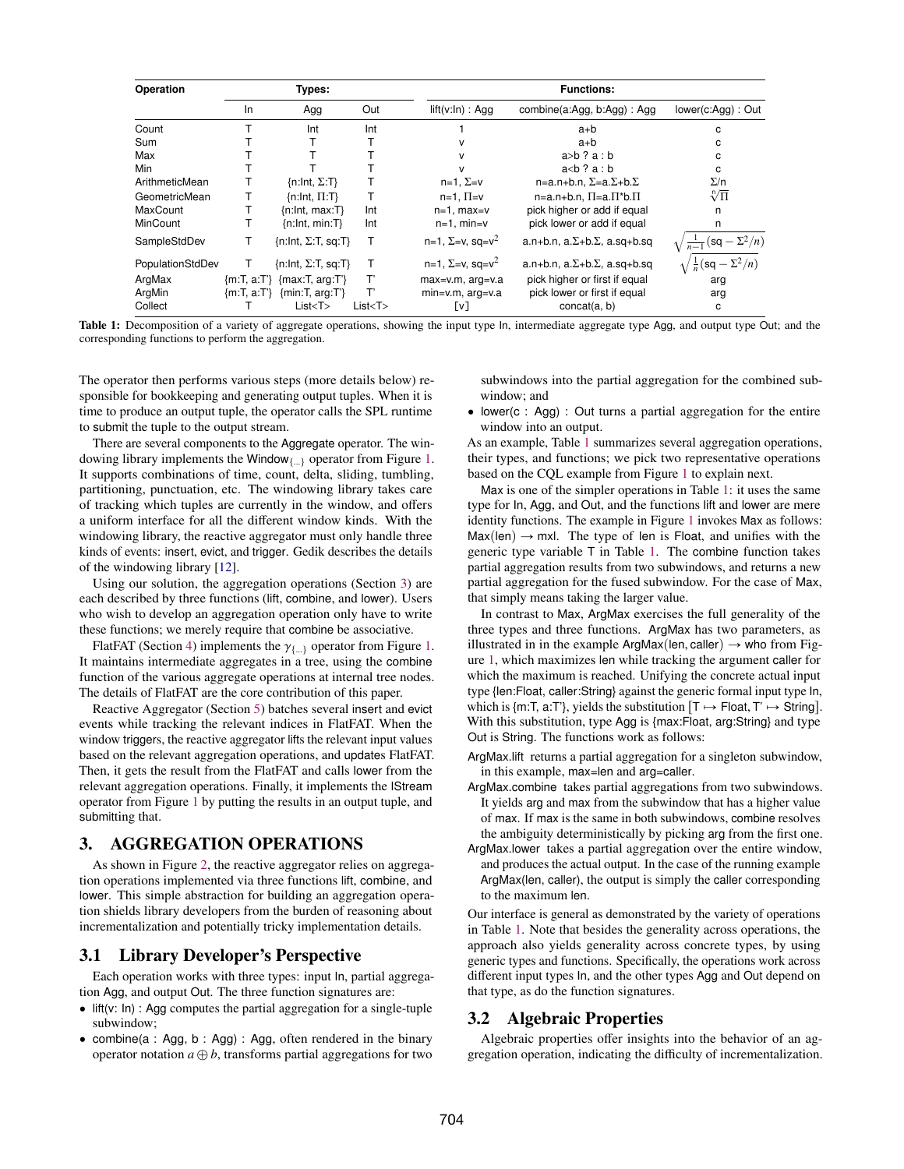<span id="page-2-1"></span>

| Operation        | Types: |                               |          | <b>Functions:</b>             |                                            |                                              |
|------------------|--------|-------------------------------|----------|-------------------------------|--------------------------------------------|----------------------------------------------|
|                  | In.    | Agg                           | Out      | lift(v:In) : Aqa              | combine(a:Agg, b:Agg): Agg                 | lower(c:Agg): Out                            |
| Count            |        | Int                           | Int      |                               | a+b                                        | с                                            |
| Sum              |        |                               |          | v                             | a+b                                        | с                                            |
| Max              |        |                               |          | v                             | $a>b$ ? $a:b$                              | с                                            |
| Min              |        |                               |          | v                             | $a < b$ ? $a : b$                          | C                                            |
| ArithmeticMean   |        | $\{n: Int, \Sigma: T\}$       |          | $n=1$ , $\Sigma=v$            | $n=a.n+b.n, \Sigma=a.\Sigma+b.\Sigma$      | $\Sigma/n$                                   |
| GeometricMean    |        | $\{n: Int, \Pi: T\}$          |          | $n=1$ , $\Pi=v$               | $n=a.n+b.n.$ $\Pi=a.\Pi^*b.\Pi$            | $\sqrt[n]{\Pi}$                              |
| MaxCount         |        | {n:Int, max:T}                | Int      | $n=1$ , max=v                 | pick higher or add if equal                | n                                            |
| MinCount         |        | $\{n: Int, min: T\}$          | Int      | $n=1$ , min=v                 | pick lower or add if equal                 | n                                            |
| SampleStdDev     |        | $\{n: Int, \Sigma: T, sq:T\}$ | Т        | $n=1$ , $\Sigma=v$ , $sq=v^2$ | a.n+b.n, $a.\Sigma + b.\Sigma$ , a.sq+b.sq | $\frac{1}{n-1}(\mathsf{sq}-\Sigma^2/n)$      |
| PopulationStdDev |        | $\{n: Int, \Sigma: T, sq:T\}$ | Т        | $n=1$ , $\Sigma=v$ , $sq=v^2$ | a.n+b.n, $a.\Sigma + b.\Sigma$ , a.sq+b.sq | $\sqrt{\frac{1}{n}(\mathsf{sq}-\Sigma^2/n)}$ |
| ArgMax           |        | ${m:T, a:T'}$ {max:T, arg:T'} | т        | $max=v.m$ , $arg=v.a$         | pick higher or first if equal              | arg                                          |
| ArgMin           |        | ${m:T, a:T'}$ {min:T, arg:T'} | т        | $min=v.m$ , $arg=v.a$         | pick lower or first if equal               | arg                                          |
| Collect          |        | List < T                      | List < T | [v]                           | concat(a, b)                               | с                                            |

Table 1: Decomposition of a variety of aggregate operations, showing the input type In, intermediate aggregate type Agg, and output type Out; and the corresponding functions to perform the aggregation.

The operator then performs various steps (more details below) responsible for bookkeeping and generating output tuples. When it is time to produce an output tuple, the operator calls the SPL runtime to submit the tuple to the output stream.

There are several components to the Aggregate operator. The win-dowing library implements the Window<sub>{...}</sub> operator from Figure [1.](#page-1-0) It supports combinations of time, count, delta, sliding, tumbling, partitioning, punctuation, etc. The windowing library takes care of tracking which tuples are currently in the window, and offers a uniform interface for all the different window kinds. With the windowing library, the reactive aggregator must only handle three kinds of events: insert, evict, and trigger. Gedik describes the details of the windowing library [\[12\]](#page-11-14).

Using our solution, the aggregation operations (Section [3\)](#page-2-0) are each described by three functions (lift, combine, and lower). Users who wish to develop an aggregation operation only have to write these functions; we merely require that combine be associative.

FlatFAT (Section [4\)](#page-3-0) implements the  $\gamma_{\{\ldots\}}$  operator from Figure [1.](#page-1-0) It maintains intermediate aggregates in a tree, using the combine function of the various aggregate operations at internal tree nodes. The details of FlatFAT are the core contribution of this paper.

Reactive Aggregator (Section [5\)](#page-6-0) batches several insert and evict events while tracking the relevant indices in FlatFAT. When the window triggers, the reactive aggregator lifts the relevant input values based on the relevant aggregation operations, and updates FlatFAT. Then, it gets the result from the FlatFAT and calls lower from the relevant aggregation operations. Finally, it implements the IStream operator from Figure [1](#page-1-0) by putting the results in an output tuple, and submitting that.

## <span id="page-2-0"></span>3. AGGREGATION OPERATIONS

As shown in Figure [2,](#page-1-1) the reactive aggregator relies on aggregation operations implemented via three functions lift, combine, and lower. This simple abstraction for building an aggregation operation shields library developers from the burden of reasoning about incrementalization and potentially tricky implementation details.

#### 3.1 Library Developer's Perspective

Each operation works with three types: input In, partial aggregation Agg, and output Out. The three function signatures are:

- $\bullet$  lift(v: ln) : Agg computes the partial aggregation for a single-tuple subwindow;
- ' combine(a : Agg, b : Agg) : Agg, often rendered in the binary operator notation  $a \oplus b$ , transforms partial aggregations for two

subwindows into the partial aggregation for the combined subwindow; and

' lower(c : Agg) : Out turns a partial aggregation for the entire window into an output.

As an example, Table [1](#page-2-1) summarizes several aggregation operations, their types, and functions; we pick two representative operations based on the CQL example from Figure [1](#page-1-0) to explain next.

Max is one of the simpler operations in Table [1:](#page-2-1) it uses the same type for In, Agg, and Out, and the functions lift and lower are mere identity functions. The example in Figure [1](#page-1-0) invokes Max as follows:  $Max(len) \rightarrow mxl$ . The type of len is Float, and unifies with the generic type variable T in Table [1.](#page-2-1) The combine function takes partial aggregation results from two subwindows, and returns a new partial aggregation for the fused subwindow. For the case of Max, that simply means taking the larger value.

In contrast to Max, ArgMax exercises the full generality of the three types and three functions. ArgMax has two parameters, as illustrated in in the example ArgMax(len, caller)  $\rightarrow$  who from Figure [1,](#page-1-0) which maximizes len while tracking the argument caller for which the maximum is reached. Unifying the concrete actual input type {len:Float, caller:String} against the generic formal input type In, which is {m:T, a:T'}, yields the substitution  $[T \mapsto$  Float, T'  $\mapsto$  String]. With this substitution, type Agg is {max:Float, arg:String} and type Out is String. The functions work as follows:

ArgMax.lift returns a partial aggregation for a singleton subwindow, in this example, max=len and arg=caller.

- ArgMax.combine takes partial aggregations from two subwindows. It yields arg and max from the subwindow that has a higher value of max. If max is the same in both subwindows, combine resolves the ambiguity deterministically by picking arg from the first one.
- ArgMax.lower takes a partial aggregation over the entire window, and produces the actual output. In the case of the running example ArgMax(len, caller), the output is simply the caller corresponding to the maximum len.

Our interface is general as demonstrated by the variety of operations in Table [1.](#page-2-1) Note that besides the generality across operations, the approach also yields generality across concrete types, by using generic types and functions. Specifically, the operations work across different input types In, and the other types Agg and Out depend on that type, as do the function signatures.

## 3.2 Algebraic Properties

Algebraic properties offer insights into the behavior of an aggregation operation, indicating the difficulty of incrementalization.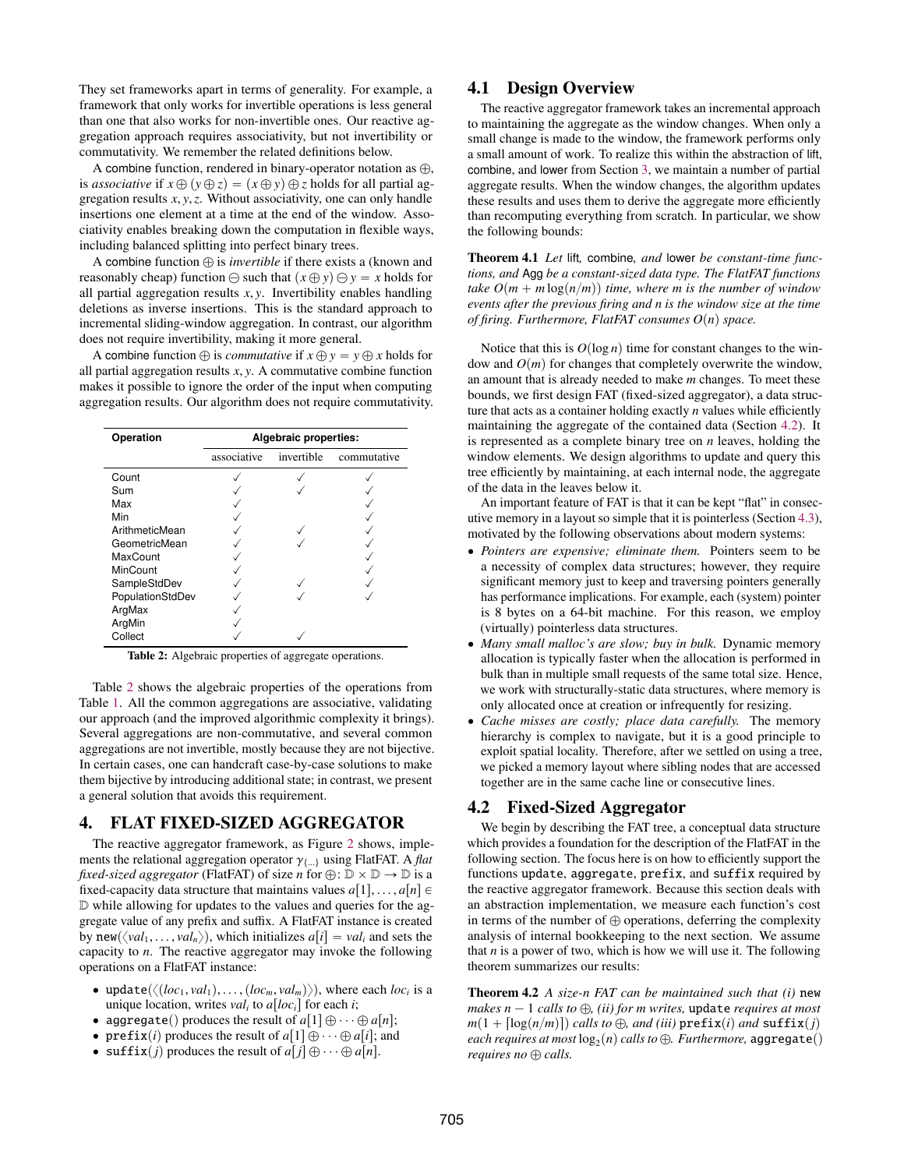They set frameworks apart in terms of generality. For example, a framework that only works for invertible operations is less general than one that also works for non-invertible ones. Our reactive aggregation approach requires associativity, but not invertibility or commutativity. We remember the related definitions below.

A combine function, rendered in binary-operator notation as  $\oplus$ , is *associative* if  $x \oplus (y \oplus z) = (x \oplus y) \oplus z$  holds for all partial aggregation results *<sup>x</sup>*, *<sup>y</sup>*,*z*. Without associativity, one can only handle insertions one element at a time at the end of the window. Associativity enables breaking down the computation in flexible ways, including balanced splitting into perfect binary trees.

A combine function  $\oplus$  is *invertible* if there exists a (known and reasonably cheap) function  $\ominus$  such that  $(x \oplus y) \ominus y = x$  holds for all partial aggregation results *<sup>x</sup>*, *<sup>y</sup>*. Invertibility enables handling deletions as inverse insertions. This is the standard approach to incremental sliding-window aggregation. In contrast, our algorithm does not require invertibility, making it more general.

A combine function  $\oplus$  is *commutative* if  $x \oplus y = y \oplus x$  holds for all partial aggregation results *<sup>x</sup>*, *<sup>y</sup>*. A commutative combine function makes it possible to ignore the order of the input when computing aggregation results. Our algorithm does not require commutativity.

<span id="page-3-1"></span>

| Operation        | Algebraic properties: |            |             |  |
|------------------|-----------------------|------------|-------------|--|
|                  | associative           | invertible | commutative |  |
| Count            |                       |            |             |  |
| Sum              |                       |            |             |  |
| Max              |                       |            |             |  |
| Min              |                       |            |             |  |
| ArithmeticMean   |                       |            |             |  |
| GeometricMean    |                       |            |             |  |
| <b>MaxCount</b>  |                       |            |             |  |
| MinCount         |                       |            |             |  |
| SampleStdDev     |                       |            |             |  |
| PopulationStdDev |                       |            |             |  |
| ArgMax           |                       |            |             |  |
| ArgMin           |                       |            |             |  |
| Collect          |                       |            |             |  |

Table 2: Algebraic properties of aggregate operations.

Table [2](#page-3-1) shows the algebraic properties of the operations from Table [1.](#page-2-1) All the common aggregations are associative, validating our approach (and the improved algorithmic complexity it brings). Several aggregations are non-commutative, and several common aggregations are not invertible, mostly because they are not bijective. In certain cases, one can handcraft case-by-case solutions to make them bijective by introducing additional state; in contrast, we present a general solution that avoids this requirement.

## <span id="page-3-0"></span>4. FLAT FIXED-SIZED AGGREGATOR

The reactive aggregator framework, as Figure [2](#page-1-1) shows, implements the relational aggregation operator  $\gamma_{\{\ldots\}}$  using FlatFAT. A *flat fixed-sized aggregator* (FlatFAT) of size *n* for  $\oplus$ :  $\mathbb{D} \times \mathbb{D} \to \mathbb{D}$  is a fixed-capacity data structure that maintains values  $a[1], \ldots, a[n] \in$ D while allowing for updates to the values and queries for the aggregate value of any prefix and suffix. A FlatFAT instance is created by new $(\langle val_1, \ldots, val_n \rangle)$ , which initializes  $a[i] = val_i$  and sets the capacity to *n*. The reactive aggregator may invoke the following operations on a FlatFAT instance:

- update $(\langle (loc_1, val_1), \ldots, (loc_m, val_m) \rangle)$ , where each *loc<sub>i</sub>* is a unique location writes *val*, to all *oc*<sup>1</sup> for each *i*. unique location, writes  $val_i$  to  $a[loc_i]$  for each *i*;
- aggregate() produces the result of  $a[1] \oplus \cdots \oplus a[n];$
- prefix(*i*) produces the result of  $a[1] \oplus \cdots \oplus a[i]$ ; and
- suffix(*j*) produces the result of  $a[j] \oplus \cdots \oplus a[n]$ .

## 4.1 Design Overview

The reactive aggregator framework takes an incremental approach to maintaining the aggregate as the window changes. When only a small change is made to the window, the framework performs only a small amount of work. To realize this within the abstraction of lift, combine, and lower from Section [3,](#page-2-0) we maintain a number of partial aggregate results. When the window changes, the algorithm updates these results and uses them to derive the aggregate more efficiently than recomputing everything from scratch. In particular, we show the following bounds:

Theorem 4.1 *Let* lift*,* combine*, and* lower *be constant-time functions, and* Agg *be a constant-sized data type. The FlatFAT functions take*  $O(m + m \log(n/m))$  *time, where m is the number of window events after the previous firing and n is the window size at the time of firing. Furthermore, FlatFAT consumes*  $O(n)$  *space.* 

Notice that this is  $O(\log n)$  time for constant changes to the window and  $O(m)$  for changes that completely overwrite the window, an amount that is already needed to make *m* changes. To meet these bounds, we first design FAT (fixed-sized aggregator), a data structure that acts as a container holding exactly *n* values while efficiently maintaining the aggregate of the contained data (Section [4.2\)](#page-3-2). It is represented as a complete binary tree on *n* leaves, holding the window elements. We design algorithms to update and query this tree efficiently by maintaining, at each internal node, the aggregate of the data in the leaves below it.

An important feature of FAT is that it can be kept "flat" in consecutive memory in a layout so simple that it is pointerless (Section [4.3\)](#page-5-0), motivated by the following observations about modern systems:

- ' *Pointers are expensive; eliminate them.* Pointers seem to be a necessity of complex data structures; however, they require significant memory just to keep and traversing pointers generally has performance implications. For example, each (system) pointer is 8 bytes on a 64-bit machine. For this reason, we employ (virtually) pointerless data structures.
- *Many small malloc's are slow; buy in bulk.* Dynamic memory allocation is typically faster when the allocation is performed in bulk than in multiple small requests of the same total size. Hence, we work with structurally-static data structures, where memory is only allocated once at creation or infrequently for resizing.
- ' *Cache misses are costly; place data carefully.* The memory hierarchy is complex to navigate, but it is a good principle to exploit spatial locality. Therefore, after we settled on using a tree, we picked a memory layout where sibling nodes that are accessed together are in the same cache line or consecutive lines.

#### <span id="page-3-2"></span>4.2 Fixed-Sized Aggregator

We begin by describing the FAT tree, a conceptual data structure which provides a foundation for the description of the FlatFAT in the following section. The focus here is on how to efficiently support the functions update, aggregate, prefix, and suffix required by the reactive aggregator framework. Because this section deals with an abstraction implementation, we measure each function's cost in terms of the number of  $\oplus$  operations, deferring the complexity analysis of internal bookkeeping to the next section. We assume that  $n$  is a power of two, which is how we will use it. The following theorem summarizes our results:

<span id="page-3-3"></span>Theorem 4.2 *A size-n FAT can be maintained such that (i)* new *makes*  $n - 1$  *calls to*  $\bigoplus$ *, (ii) for m writes, update requires at most*  $m(1 + \lceil \log(n/m) \rceil)$  *calls to*  $\bigoplus$ *, and (iii)* prefix*(i) and* suffix*(j)*  $\it each\ requires\ at\ most\ log_2(n)\ calls\ to\ \oplus\ .\ Further\ more,\ aggregate()$ *requires no*  $\oplus$  *calls.*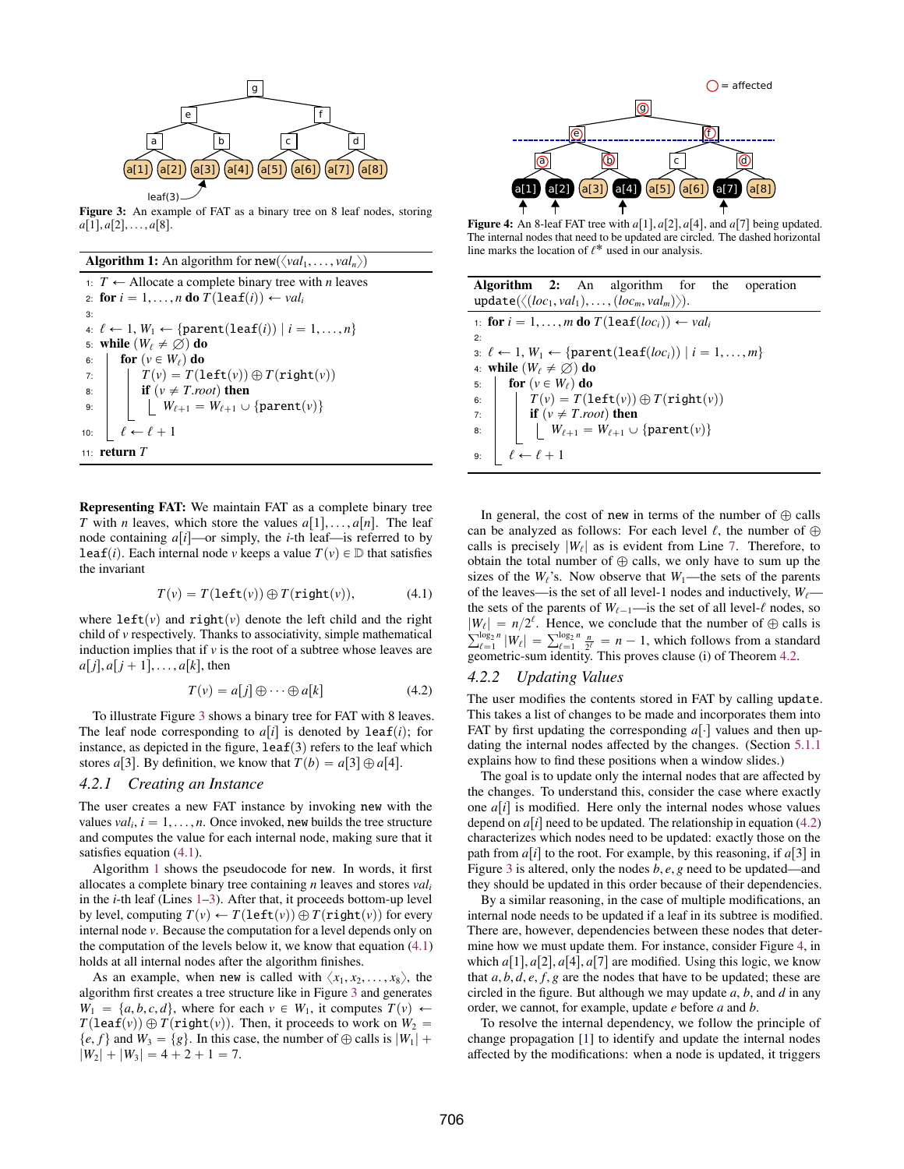<span id="page-4-0"></span>

Figure 3: An example of FAT as a binary tree on 8 leaf nodes, storing  $a[1], a[2], \ldots, a[8].$ 

**Algorithm 1:** An algorithm for  $new(\langle val_1, \ldots, val_n \rangle)$ 

<span id="page-4-5"></span><span id="page-4-4"></span><span id="page-4-3"></span><span id="page-4-2"></span>1:  $T \leftarrow$  Allocate a complete binary tree with *n* leaves 2: for  $i = 1, ..., n$  do  $T(\text{leaf}(i)) \leftarrow val_i$ 3: 4:  $\ell \leftarrow 1, W_1 \leftarrow \{\text{parent}(\text{leaf}(i)) | i = 1, \ldots, n\}$ 5: **while**  $(W_\ell \neq \emptyset)$  do<br>6: **|** for  $(v \in W_\ell)$  do 6: **for**  $(v \in W_\ell)$  **do**<br> **b**<sub>7</sub>:  $T(v) = T(1$  $T(v) = T(\text{left}(v)) \oplus T(\text{right}(v))$ 8: **if**  $(v \neq T root)$  then<br>9:  $\begin{array}{c} \n\vdots \\
\downarrow \n\end{array}$   $W_{\ell+1} = W_{\ell+1} \cup$  $W_{\ell+1} = W_{\ell+1} \cup \{\texttt{parent}(v)\}$ 10:  $\left| \ell \leftarrow \ell + 1 \right|$ 11: return *T*

Representing FAT: We maintain FAT as a complete binary tree *T* with *n* leaves, which store the values  $a[1], \ldots, a[n]$ . The leaf node containing  $a[i]$ —or simply, the *i*-th leaf—is referred to by **leaf**(*i*). Each internal node *v* keeps a value  $T(v) \in D$  that satisfies the invariant

<span id="page-4-1"></span>
$$
T(v) = T(\text{left}(v)) \oplus T(\text{right}(v)), \tag{4.1}
$$

where  $left(v\right)$  and right $(v)$  denote the left child and the right child of *v* respectively. Thanks to associativity, simple mathematical induction implies that if  $\nu$  is the root of a subtree whose leaves are  $a[j], a[j+1], \ldots, a[k]$ , then

<span id="page-4-6"></span>
$$
T(v) = a[j] \oplus \cdots \oplus a[k] \tag{4.2}
$$

To illustrate Figure [3](#page-4-0) shows a binary tree for FAT with 8 leaves. The leaf node corresponding to  $a[i]$  is denoted by leaf(*i*); for instance, as depicted in the figure,  $leaf(3)$  refers to the leaf which stores *a*[3]. By definition, we know that  $T(b) = a[3] \oplus a[4]$ .

#### *4.2.1 Creating an Instance*

The user creates a new FAT instance by invoking new with the values  $val_i$ ,  $i = 1, \ldots, n$ . Once invoked, new builds the tree structure and computes the value for each internal node, making sure that it and computes the value for each internal node, making sure that it satisfies equation [\(4.1\)](#page-4-1).

Algorithm [1](#page-4-2) shows the pseudocode for new. In words, it first allocates a complete binary tree containing *n* leaves and stores *val<sup>i</sup>* in the *i*-th leaf (Lines [1–](#page-4-3)[3\)](#page-4-4). After that, it proceeds bottom-up level by level, computing  $T(v) \leftarrow T(\text{left}(v)) \oplus T(\text{right}(v))$  for every internal node *v*. Because the computation for a level depends only on the computation of the levels below it, we know that equation  $(4.1)$ holds at all internal nodes after the algorithm finishes.

As an example, when new is called with  $\langle x_1, x_2, \ldots, x_8 \rangle$ , the algorithm first creates a tree structure like in Figure [3](#page-4-0) and generates  $W_1 = \{a, b, c, d\}$ , where for each  $v \in W_1$ , it computes  $T(v) \leftarrow$  $T(\text{leaf}(v)) \oplus T(\text{right}(v))$ . Then, it proceeds to work on  $W_2$  =  $\{e, f\}$  and  $W_3 = \{g\}$ . In this case, the number of  $\oplus$  calls is  $|W_1| +$  $|W_2| + |W_3| = 4 + 2 + 1 = 7.$ 

<span id="page-4-7"></span>

Figure 4: An 8-leaf FAT tree with  $a[1], a[2], a[4]$ , and  $a[7]$  being updated. The internal nodes that need to be updated are circled. The dashed horizontal line marks the location of  $\ell^*$  used in our analysis.

<span id="page-4-10"></span><span id="page-4-9"></span><span id="page-4-8"></span>

| <b>Algorithm 2:</b> An algorithm for the operation<br>$update(\langle (loc_1, val_1), \ldots, (loc_m, val_m) \rangle).$                                                      |  |  |  |
|------------------------------------------------------------------------------------------------------------------------------------------------------------------------------|--|--|--|
| 1: for $i = 1, , m$ do $T(leaf(loc_i)) \leftarrow val_i$                                                                                                                     |  |  |  |
| 2:                                                                                                                                                                           |  |  |  |
| 3: $\ell$ ← 1, $W_1$ ← {parent(leaf(loc <sub>i</sub> ))   $i = 1, , m$ }                                                                                                     |  |  |  |
| 4: while $(W_{\ell} \neq \emptyset)$ do                                                                                                                                      |  |  |  |
| <b>for</b> $(v \in W_{\ell})$ do<br>5:                                                                                                                                       |  |  |  |
| 6:                                                                                                                                                                           |  |  |  |
| $\overline{7}$                                                                                                                                                               |  |  |  |
| $T(v) = T(\text{left}(v)) \oplus T(\text{right}(v))$<br>if $(v \neq T.root)$ then<br>$\begin{bmatrix} W_{\ell+1} = W_{\ell+1} \cup \{\text{parent}(v)\} \end{bmatrix}$<br>8: |  |  |  |
| $\ell \leftarrow \ell + 1$<br>9:                                                                                                                                             |  |  |  |

<span id="page-4-11"></span>In general, the cost of new in terms of the number of  $\oplus$  calls can be analyzed as follows: For each level  $\ell$ , the number of  $\oplus$ calls is precisely  $|W_\ell|$  as is evident from Line [7.](#page-4-5) Therefore, to obtain the total number of  $\Omega$  salls, we only have to sum un the obtain the total number of  $\oplus$  calls, we only have to sum up the sizes of the  $W_{\ell}$ 's. Now observe that  $W_1$ —the sets of the parents of the leaves—is the set of all level-1 nodes and inductively,  $W_{\ell}$  the sets of the parents of  $W_{\ell-1}$ —is the set of all level- $\ell$  nodes, so  $|W_{\ell}| = n/2^{\ell}$ . Hence, we conclude that the number of  $\oplus$  calls is  $|W_{\ell}| = n/2^{\epsilon}$ . Hence, we conclude that the number of  $\bigoplus$  calls is  $\sum_{\ell=1}^{\log_2 n} |W_{\ell}| = \sum_{\ell=1}^{\log_2 n} \frac{n}{2^{\ell}} = n - 1$ , which follows from a standard geometric-sum identity. This proves clause (i) of Theorem 4.2 geometric-sum identity. This proves clause (i) of Theorem [4.2.](#page-3-3)

#### *4.2.2 Updating Values*

The user modifies the contents stored in FAT by calling update. This takes a list of changes to be made and incorporates them into FAT by first updating the corresponding  $a[\cdot]$  values and then updating the internal nodes affected by the changes. (Section [5.1.1](#page-6-1) explains how to find these positions when a window slides.)

The goal is to update only the internal nodes that are affected by the changes. To understand this, consider the case where exactly one  $a[i]$  is modified. Here only the internal nodes whose values depend on  $a[i]$  need to be updated. The relationship in equation [\(4.2\)](#page-4-6) characterizes which nodes need to be updated: exactly those on the path from  $a[i]$  to the root. For example, by this reasoning, if  $a[3]$  in Figure [3](#page-4-0) is altered, only the nodes *<sup>b</sup>*, *<sup>e</sup>*, *<sup>g</sup>* need to be updated—and they should be updated in this order because of their dependencies.

By a similar reasoning, in the case of multiple modifications, an internal node needs to be updated if a leaf in its subtree is modified. There are, however, dependencies between these nodes that determine how we must update them. For instance, consider Figure [4,](#page-4-7) in which  $a[1], a[2], a[4], a[7]$  are modified. Using this logic, we know that  $a, b, d, e, f, g$  are the nodes that have to be updated; these are circled in the figure. But although we may update *a*, *b*, and *d* in any order, we cannot, for example, update *e* before *a* and *b*.

To resolve the internal dependency, we follow the principle of change propagation [\[1\]](#page-11-15) to identify and update the internal nodes affected by the modifications: when a node is updated, it triggers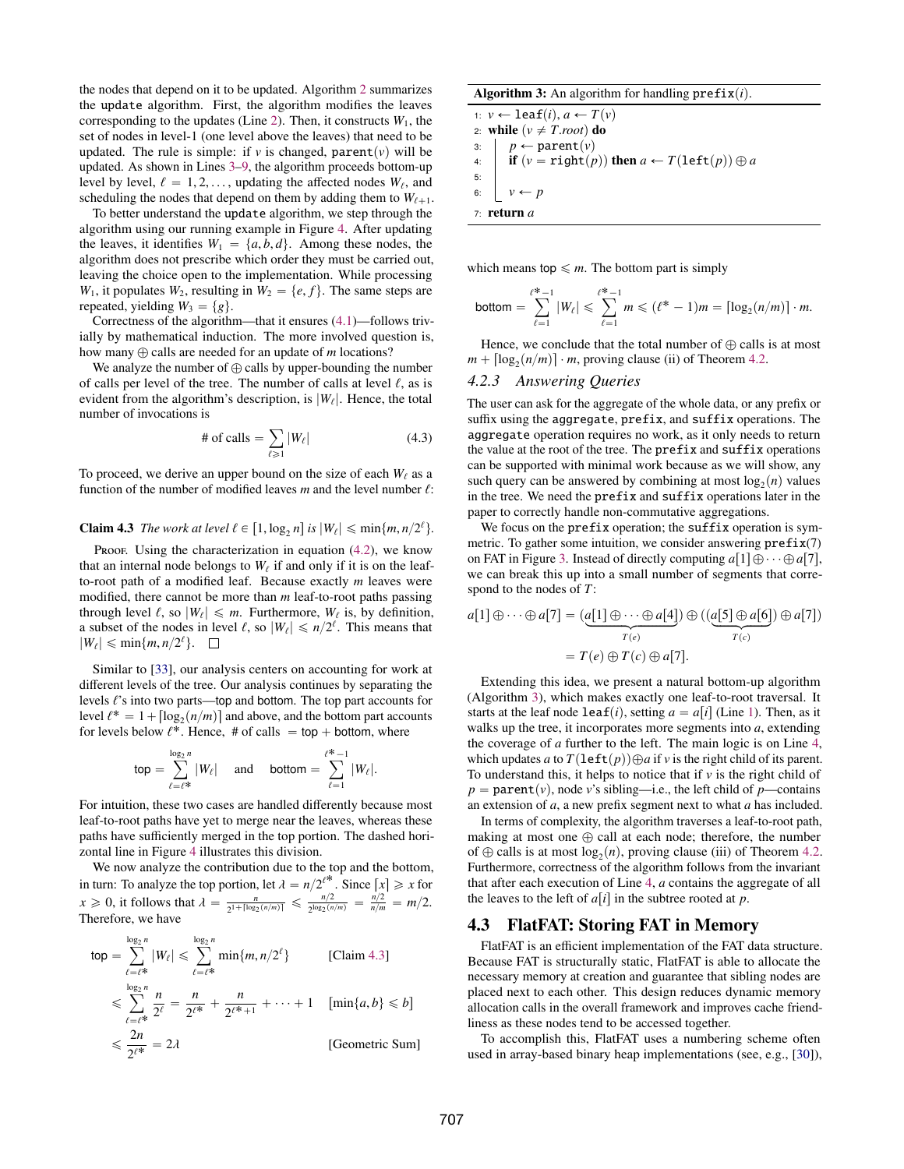the nodes that depend on it to be updated. Algorithm [2](#page-4-8) summarizes the update algorithm. First, the algorithm modifies the leaves corresponding to the updates (Line [2\)](#page-4-9). Then, it constructs  $W_1$ , the set of nodes in level-1 (one level above the leaves) that need to be updated. The rule is simple: if *v* is changed,  $parent(v)$  will be updated. As shown in Lines [3](#page-4-10)[–9,](#page-4-11) the algorithm proceeds bottom-up level by level,  $\ell = 1, 2, \dots$ , updating the affected nodes  $W_{\ell}$ , and scheduling the nodes that depend on them by adding them to  $W_{\ell}$ . scheduling the nodes that depend on them by adding them to  $W_{\ell+1}$ .

To better understand the update algorithm, we step through the algorithm using our running example in Figure [4.](#page-4-7) After updating the leaves, it identifies  $W_1 = \{a, b, d\}$ . Among these nodes, the algorithm does not prescribe which order they must be carried out, leaving the choice open to the implementation. While processing *W*<sub>1</sub>, it populates *W*<sub>2</sub>, resulting in *W*<sub>2</sub> = {*e*, *f*}. The same steps are repeated, yielding  $W_3 = \{g\}.$ 

Correctness of the algorithm—that it ensures [\(4.1\)](#page-4-1)—follows trivially by mathematical induction. The more involved question is, how many  $\oplus$  calls are needed for an update of *m* locations?

We analyze the number of  $\oplus$  calls by upper-bounding the number of calls per level of the tree. The number of calls at level  $\ell$ , as is evident from the algorithm's description, is  $|W_\ell|$ . Hence, the total number of invasctions is number of invocations is

# of calls = 
$$
\sum_{\ell \ge 1} |W_{\ell}|
$$
 (4.3)

<span id="page-5-1"></span>To proceed, we derive an upper bound on the size of each  $W_\ell$  as a function of the number of modified leaves  $m$  and the level number  $\ell$ :

## **Claim 4.3** *The work at level*  $\ell \in [1, \log_2 n]$  *is*  $|W_{\ell}| \leq \min\{m, n/2^{\ell}\}.$

Proof. Using the characterization in equation  $(4.2)$ , we know that an internal node belongs to  $W_{\ell}$  if and only if it is on the leaf-<br>to get nothing a modified leaf. Because are at the leaves were to-root path of a modified leaf. Because exactly *m* leaves were modified, there cannot be more than *m* leaf-to-root paths passing through level  $\ell$ , so  $|W_{\ell}| \le m$ . Furthermore,  $W_{\ell}$  is, by definition, a subset of the nodes in level  $\ell$ , so  $|W_{\ell}| \le n/2^{\ell}$ . This means that a subset of the nodes in level  $\ell$ , so  $|W_{\ell}| \le n/2^{\ell}$ . This means that  $|W_{\ell}| < \min\{m, n/2^{\ell}\}$  $|W_{\ell}| \leqslant \min\{m, n/2^{\ell}\}.$ 

Similar to [\[33\]](#page-11-16), our analysis centers on accounting for work at different levels of the tree. Our analysis continues by separating the levels  $\ell$ 's into two parts—top and bottom. The top part accounts for level  $\ell^* = 1 + \lceil \log_2(n/m) \rceil$  and above, and the bottom part accounts<br>for levels below  $\ell^*$ . Hence  $\#$  of calls = top + bottom, where for levels below  $\ell^*$ . Hence, # of calls = top + bottom, where

$$
\text{top} = \sum_{\ell=\ell^*}^{\log_2 n} |W_{\ell}| \quad \text{ and } \quad \text{bottom} = \sum_{\ell=1}^{\ell^*-1} |W_{\ell}|.
$$

For intuition, these two cases are handled differently because most leaf-to-root paths have yet to merge near the leaves, whereas these paths have sufficiently merged in the top portion. The dashed horizontal line in Figure [4](#page-4-7) illustrates this division.

We now analyze the contribution due to the top and the bottom, in turn: To analyze the top portion, let  $\lambda = n/2^{k^*}$ . Since  $\lfloor x \rfloor \ge x$  for  $n > 0$ , it follows that  $\lambda = \frac{n}{2}$  $x \ge 0$ , it follows that  $\lambda = \frac{n}{2^{1 + \lceil \log_2(n/m) \rceil}} \le \frac{n/2}{2^{\log_2(n)}}$  $\frac{n/2}{2^{\log_2(n/m)}} = \frac{n/2}{n/m} = m/2.$ Therefore, we have

$$
\begin{aligned}\n\text{top} &= \sum_{\ell=\ell^*}^{\log_2 n} |W_{\ell}| \leq \sum_{\ell=\ell^*}^{\log_2 n} \min\{m, n/2^{\ell}\} \qquad \text{[Claim 4.3]} \\
&\leq \sum_{\ell=\ell^*}^{\log_2 n} \frac{n}{2^{\ell}} = \frac{n}{2^{\ell^*}} + \frac{n}{2^{\ell^*+1}} + \dots + 1 \quad [\min\{a, b\} \leq b] \\
&\leq \frac{2n}{2^{\ell^*}} = 2\lambda \qquad \qquad \text{[Geometric Sum]} \n\end{aligned}
$$

Algorithm 3: An algorithm for handling  $prefix(i)$ .

<span id="page-5-4"></span><span id="page-5-3"></span><span id="page-5-2"></span>1:  $v \leftarrow \text{leaf}(i), a \leftarrow T(v)$ 2: **while**  $(v \neq T$ *root*) **do**<br>3:  $p \leftarrow \text{parent}(v)$  $p \leftarrow \text{parent}(v)$ 4: **if**  $(v = \text{right}(p))$  then  $a \leftarrow T(\text{left}(p)) \oplus a$ 5: 6:  $v \leftarrow p$ 7: return *a*

which means top  $\leq m$ . The bottom part is simply

$$
\text{bottom} = \sum_{\ell=1}^{\ell^* - 1} |W_{\ell}| \leq \sum_{\ell=1}^{\ell^* - 1} m \leq (\ell^* - 1)m = \lceil \log_2(n/m) \rceil \cdot m.
$$

Hence, we conclude that the total number of  $\oplus$  calls is at most  $m + \lceil \log_2(n/m) \rceil \cdot m$ , proving clause (ii) of Theorem [4.2.](#page-3-3)

#### *4.2.3 Answering Queries*

The user can ask for the aggregate of the whole data, or any prefix or suffix using the aggregate, prefix, and suffix operations. The aggregate operation requires no work, as it only needs to return the value at the root of the tree. The prefix and suffix operations can be supported with minimal work because as we will show, any such query can be answered by combining at most  $log_2(n)$  values in the tree. We need the prefix and suffix operations later in the paper to correctly handle non-commutative aggregations.

We focus on the prefix operation; the suffix operation is symmetric. To gather some intuition, we consider answering  $prefix(7)$ on FAT in Figure [3.](#page-4-0) Instead of directly computing  $a[1]\oplus \cdots \oplus a[7]$ , we can break this up into a small number of segments that correspond to the nodes of *T*:

$$
a[1] \oplus \cdots \oplus a[7] = (a[1] \oplus \cdots \oplus a[4]) \oplus ((a[5] \oplus a[6]) \oplus a[7])
$$

$$
= T(e) \oplus T(c) \oplus a[7].
$$

Extending this idea, we present a natural bottom-up algorithm (Algorithm [3\)](#page-5-2), which makes exactly one leaf-to-root traversal. It starts at the leaf node  $\text{leaf}(i)$ , setting  $a = a[i]$  (Line [1\)](#page-5-3). Then, as it walks up the tree, it incorporates more segments into *a*, extending the coverage of *a* further to the left. The main logic is on Line [4,](#page-5-4) which updates *a* to  $T(\text{left}(p))\oplus a$  if *v* is the right child of its parent. To understand this, it helps to notice that if  $\nu$  is the right child of  $p =$  parent $(v)$ , node *v*'s sibling—i.e., the left child of *p*—contains an extension of *a*, a new prefix segment next to what *a* has included.

In terms of complexity, the algorithm traverses a leaf-to-root path, making at most one  $\oplus$  call at each node; therefore, the number of  $\oplus$  calls is at most  $log_2(n)$ , proving clause (iii) of Theorem [4.2.](#page-3-3) Furthermore, correctness of the algorithm follows from the invariant that after each execution of Line [4,](#page-5-4) *a* contains the aggregate of all the leaves to the left of  $a[i]$  in the subtree rooted at  $p$ .

#### <span id="page-5-0"></span>4.3 FlatFAT: Storing FAT in Memory

FlatFAT is an efficient implementation of the FAT data structure. Because FAT is structurally static, FlatFAT is able to allocate the necessary memory at creation and guarantee that sibling nodes are placed next to each other. This design reduces dynamic memory allocation calls in the overall framework and improves cache friendliness as these nodes tend to be accessed together.

To accomplish this, FlatFAT uses a numbering scheme often used in array-based binary heap implementations (see, e.g., [\[30\]](#page-11-17)),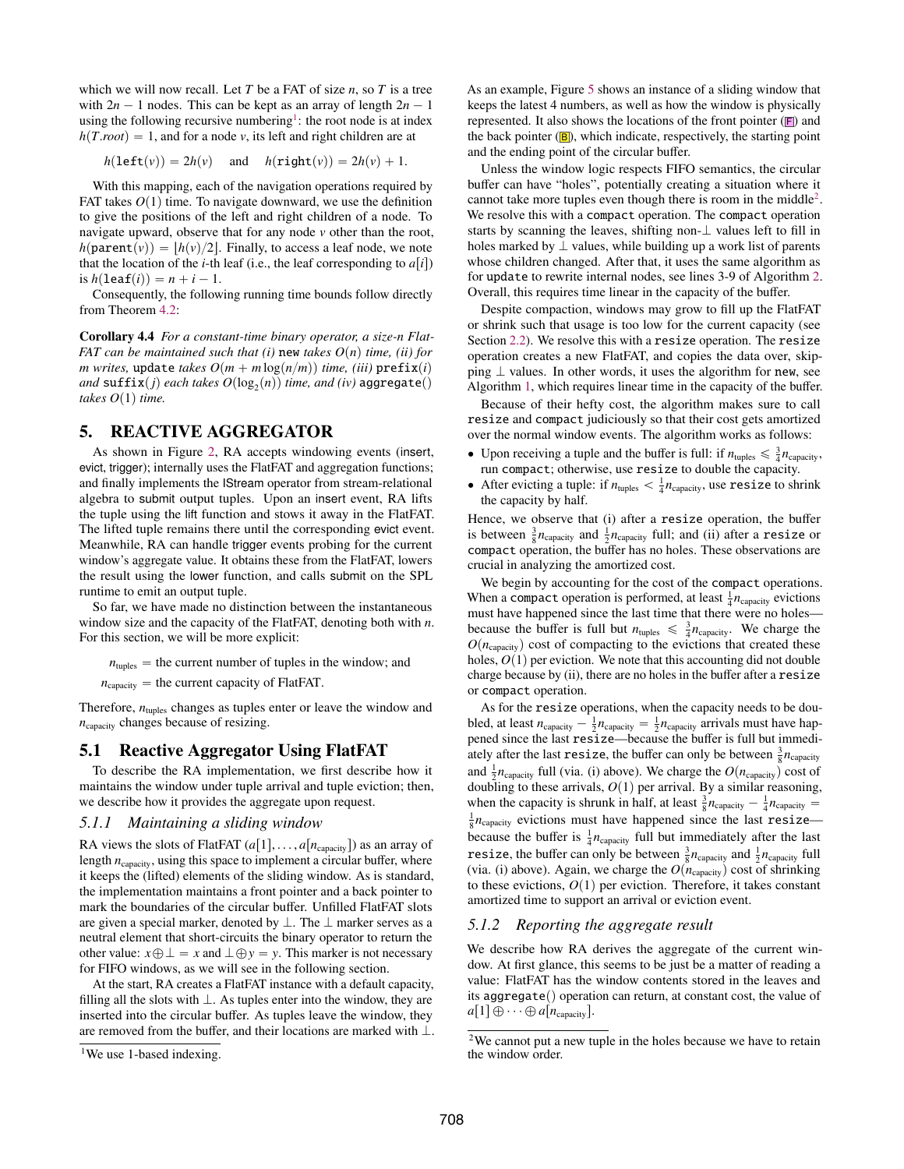which we will now recall. Let *T* be a FAT of size *n*, so *T* is a tree with  $2n - 1$  nodes. This can be kept as an array of length  $2n - 1$ using the following recursive numbering<sup>[1](#page-6-2)</sup>: the root node is at index  $h(T$ *root*) = 1, and for a node *v*, its left and right children are at

 $h(\text{left}(v)) = 2h(v)$  and  $h(\text{right}(v)) = 2h(v) + 1$ .

With this mapping, each of the navigation operations required by FAT takes  $O(1)$  time. To navigate downward, we use the definition to give the positions of the left and right children of a node. To navigate upward, observe that for any node *v* other than the root,  $h(\text{parent}(v)) = |h(v)/2|$ . Finally, to access a leaf node, we note that the location of the *i*-th leaf (i.e., the leaf corresponding to  $a[i]$ ) is  $h(\text{leaf}(i)) = n + i - 1$ .

Consequently, the following running time bounds follow directly from Theorem [4.2:](#page-3-3)

Corollary 4.4 *For a constant-time binary operator, a size-n Flat-FAT can be maintained such that (i)* new *takes*  $O(n)$  *time, (ii) for m* writes, update *takes*  $O(m + m \log(n/m))$  *time, (iii)* prefix*(i) and*  $\textsf{suffix}(j)$  *each takes*  $O(\log_2(n))$  *time, and (iv)* aggregate() *takes*  $O(1)$  *time.* 

## <span id="page-6-0"></span>5. REACTIVE AGGREGATOR

As shown in Figure [2,](#page-1-1) RA accepts windowing events (insert, evict, trigger); internally uses the FlatFAT and aggregation functions; and finally implements the IStream operator from stream-relational algebra to submit output tuples. Upon an insert event, RA lifts the tuple using the lift function and stows it away in the FlatFAT. The lifted tuple remains there until the corresponding evict event. Meanwhile, RA can handle trigger events probing for the current window's aggregate value. It obtains these from the FlatFAT, lowers the result using the lower function, and calls submit on the SPL runtime to emit an output tuple.

So far, we have made no distinction between the instantaneous window size and the capacity of the FlatFAT, denoting both with *n*. For this section, we will be more explicit:

 $n_{\text{tuples}}$  = the current number of tuples in the window; and

 $n_{\text{capacity}} =$  the current capacity of FlatFAT.

Therefore,  $n_{\text{tuples}}$  changes as tuples enter or leave the window and *n*capacity changes because of resizing.

#### 5.1 Reactive Aggregator Using FlatFAT

To describe the RA implementation, we first describe how it maintains the window under tuple arrival and tuple eviction; then, we describe how it provides the aggregate upon request.

#### <span id="page-6-1"></span>*5.1.1 Maintaining a sliding window*

RA views the slots of FlatFAT  $(a[1], \ldots, a[n_{\text{capacity}}])$  as an array of length  $n_{\text{capacity}}$ , using this space to implement a circular buffer, where it keeps the (lifted) elements of the sliding window. As is standard, the implementation maintains a front pointer and a back pointer to mark the boundaries of the circular buffer. Unfilled FlatFAT slots are given a special marker, denoted by  $\bot$ . The  $\bot$  marker serves as a neutral element that short-circuits the binary operator to return the other value:  $x \oplus \bot = x$  and  $\bot \oplus y = y$ . This marker is not necessary for FIFO windows, as we will see in the following section.

At the start, RA creates a FlatFAT instance with a default capacity, filling all the slots with  $\perp$ . As tuples enter into the window, they are inserted into the circular buffer. As tuples leave the window, they are removed from the buffer, and their locations are marked with  $\bot$ . As an example, Figure [5](#page-7-0) shows an instance of a sliding window that keeps the latest 4 numbers, as well as how the window is physically represented. It also shows the locations of the front pointer  $(F)$  and the back pointer  $(B)$ , which indicate, respectively, the starting point and the ending point of the circular buffer.

Unless the window logic respects FIFO semantics, the circular buffer can have "holes", potentially creating a situation where it cannot take more tuples even though there is room in the middle<sup>[2](#page-6-3)</sup>. We resolve this with a compact operation. The compact operation starts by scanning the leaves, shifting non- $\perp$  values left to fill in holes marked by  $\perp$  values, while building up a work list of parents whose children changed. After that, it uses the same algorithm as for update to rewrite internal nodes, see lines 3-9 of Algorithm [2.](#page-4-8) Overall, this requires time linear in the capacity of the buffer.

Despite compaction, windows may grow to fill up the FlatFAT or shrink such that usage is too low for the current capacity (see Section [2.2\)](#page-1-2). We resolve this with a resize operation. The resize operation creates a new FlatFAT, and copies the data over, skipping  $\perp$  values. In other words, it uses the algorithm for new, see Algorithm [1,](#page-4-2) which requires linear time in the capacity of the buffer.

Because of their hefty cost, the algorithm makes sure to call resize and compact judiciously so that their cost gets amortized over the normal window events. The algorithm works as follows:

- Upon receiving a tuple and the buffer is full: if  $n_{\text{tuples}} \leq \frac{3}{4} n_{\text{capacity}}$ , run compact; otherwise, use resize to double the capacity.
- After evicting a tuple: if  $n_{\text{tuples}} < \frac{1}{4} n_{\text{capacity}}$ , use resize to shrink the capacity by half.

Hence, we observe that (i) after a resize operation, the buffer is between  $\frac{3}{8}n_{\text{capacity}}$  and  $\frac{1}{2}n_{\text{capacity}}$  full; and (ii) after a resize or compact operation, the buffer has no holes. These observations are crucial in analyzing the amortized cost.

We begin by accounting for the cost of the compact operations. When a compact operation is performed, at least  $\frac{1}{4}n_{\text{capacity}}$  evictions must have happened since the last time that there were no holes because the buffer is full but  $n_{\text{tuples}} \leq \frac{3}{4} n_{\text{capacity}}$ . We charge the  $O(n_{\text{capacity}})$  cost of compacting to the evictions that created these holes,  $O(1)$  per eviction. We note that this accounting did not double charge because by (ii), there are no holes in the buffer after a resize or compact operation.

As for the resize operations, when the capacity needs to be doubled, at least  $n_{\text{capacity}} - \frac{1}{2}n_{\text{capacity}} = \frac{1}{2}n_{\text{capacity}}$  arrivals must have happened since the last resize—because the buffer is full but immediately after the last **resize**, the buffer can only be between  $\frac{3}{8}n_{\text{capacity}}$ and  $\frac{1}{2}n_{\text{capacity}}$  full (via. (i) above). We charge the  $O(n_{\text{capacity}})$  cost of doubling to these arrivals,  $O(1)$  per arrival. By a similar reasoning, when the capacity is shrunk in half, at least  $\frac{3}{8}n_{\text{capacity}} - \frac{1}{4}n_{\text{capacity}} =$  $\frac{1}{8}n_{\text{capacity}}$  evictions must have happened since the last resize because the buffer is  $\frac{1}{4}n_{\text{capacity}}$  full but immediately after the last **resize, the buffer can only be between**  $\frac{3}{8}n_{\text{capacity}}$  **and**  $\frac{1}{2}n_{\text{capacity}}$  **full** (via. (i) above). Again, we charge the  $O(n_{\text{capacity}})$  cost of shrinking to these evictions,  $O(1)$  per eviction. Therefore, it takes constant amortized time to support an arrival or eviction event.

#### *5.1.2 Reporting the aggregate result*

We describe how RA derives the aggregate of the current window. At first glance, this seems to be just be a matter of reading a value: FlatFAT has the window contents stored in the leaves and its aggregate() operation can return, at constant cost, the value of  $a[1] \oplus \cdots \oplus a[n_{\text{capacity}}].$ 

<span id="page-6-2"></span><sup>&</sup>lt;sup>1</sup>We use 1-based indexing.

<span id="page-6-3"></span><sup>2</sup>We cannot put a new tuple in the holes because we have to retain the window order.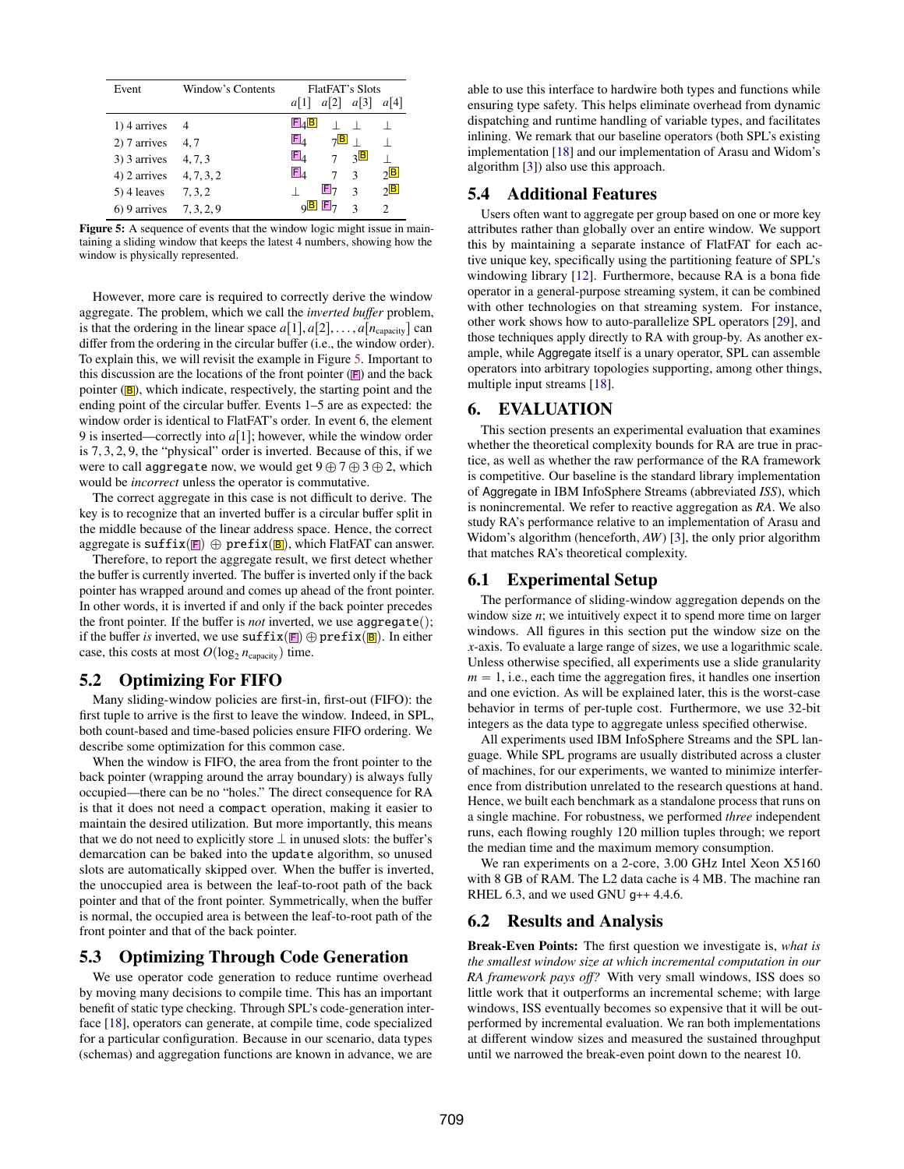<span id="page-7-0"></span>

| Event          | Window's Contents | <b>FlatFAT's Slots</b>                               |                             |  |
|----------------|-------------------|------------------------------------------------------|-----------------------------|--|
|                |                   | a[2]<br>a[3]<br>a 1                                  | $a$  4                      |  |
| $1)$ 4 arrives | 4                 | $E_A B$                                              |                             |  |
| 2) 7 arrives   | 4,7               | $\mathsf{E}_4$<br>$7\overline{\mathbf{B}}$<br>$\Box$ |                             |  |
| 3) 3 arrives   | 4, 7, 3           | $\mathsf{E}_4$<br>$\sqrt{B}$<br>$\tau$               |                             |  |
| 4) 2 arrives   | 4, 7, 3, 2        | $\mathsf{E}_4$<br>$\overline{3}$<br>7                | $2^{\boxed{B}}$             |  |
| 5) 4 leaves    | 7, 3, 2           | $E_7$<br>$\mathcal{L}$                               | $\sqrt{B}$                  |  |
| 6) 9 arrives   | 7, 3, 2, 9        | $Q$ $B$ $F$ <sub>7</sub><br>$\mathcal{R}$            | $\mathcal{D}_{\mathcal{L}}$ |  |

taining a sliding window that keeps the latest 4 numbers, showing how the window is physically represented.

However, more care is required to correctly derive the window aggregate. The problem, which we call the *inverted buffer* problem, is that the ordering in the linear space  $a[1], a[2], \ldots, a[n_{\text{capacity}}]$  can differ from the ordering in the circular buffer (i.e., the window order). To explain this, we will revisit the example in Figure [5.](#page-7-0) Important to this discussion are the locations of the front pointer  $(F)$  and the back pointer  $(B)$ , which indicate, respectively, the starting point and the ending point of the circular buffer. Events 1–5 are as expected: the window order is identical to FlatFAT's order. In event 6, the element 9 is inserted—correctly into  $a[1]$ ; however, while the window order is <sup>7</sup>, <sup>3</sup>, <sup>2</sup>, 9, the "physical" order is inverted. Because of this, if we were to call aggregate now, we would get  $9 \oplus 7 \oplus 3 \oplus 2$ , which would be *incorrect* unless the operator is commutative.

The correct aggregate in this case is not difficult to derive. The key is to recognize that an inverted buffer is a circular buffer split in the middle because of the linear address space. Hence, the correct aggregate is  $\text{suffix}(\blacksquare) \oplus \text{prefix}(\blacksquare)$ , which FlatFAT can answer.

Therefore, to report the aggregate result, we first detect whether the buffer is currently inverted. The buffer is inverted only if the back pointer has wrapped around and comes up ahead of the front pointer. In other words, it is inverted if and only if the back pointer precedes the front pointer. If the buffer is *not* inverted, we use aggregate(); if the buffer *is* inverted, we use  $\text{suffix}(F) \oplus \text{prefix}(B)$ . In either case, this costs at most  $O(\log_2 n_{\text{capacity}})$  time.

## 5.2 Optimizing For FIFO

Many sliding-window policies are first-in, first-out (FIFO): the first tuple to arrive is the first to leave the window. Indeed, in SPL, both count-based and time-based policies ensure FIFO ordering. We describe some optimization for this common case.

When the window is FIFO, the area from the front pointer to the back pointer (wrapping around the array boundary) is always fully occupied—there can be no "holes." The direct consequence for RA is that it does not need a compact operation, making it easier to maintain the desired utilization. But more importantly, this means that we do not need to explicitly store  $\perp$  in unused slots: the buffer's demarcation can be baked into the update algorithm, so unused slots are automatically skipped over. When the buffer is inverted, the unoccupied area is between the leaf-to-root path of the back pointer and that of the front pointer. Symmetrically, when the buffer is normal, the occupied area is between the leaf-to-root path of the front pointer and that of the back pointer.

## 5.3 Optimizing Through Code Generation

We use operator code generation to reduce runtime overhead by moving many decisions to compile time. This has an important benefit of static type checking. Through SPL's code-generation interface [\[18\]](#page-11-7), operators can generate, at compile time, code specialized for a particular configuration. Because in our scenario, data types (schemas) and aggregation functions are known in advance, we are

able to use this interface to hardwire both types and functions while ensuring type safety. This helps eliminate overhead from dynamic dispatching and runtime handling of variable types, and facilitates inlining. We remark that our baseline operators (both SPL's existing implementation [\[18\]](#page-11-7) and our implementation of Arasu and Widom's algorithm [\[3\]](#page-11-8)) also use this approach.

## 5.4 Additional Features

Users often want to aggregate per group based on one or more key attributes rather than globally over an entire window. We support this by maintaining a separate instance of FlatFAT for each active unique key, specifically using the partitioning feature of SPL's windowing library [\[12\]](#page-11-14). Furthermore, because RA is a bona fide operator in a general-purpose streaming system, it can be combined with other technologies on that streaming system. For instance, other work shows how to auto-parallelize SPL operators [\[29\]](#page-11-18), and those techniques apply directly to RA with group-by. As another example, while Aggregate itself is a unary operator, SPL can assemble operators into arbitrary topologies supporting, among other things, multiple input streams [\[18\]](#page-11-7).

#### 6. EVALUATION

This section presents an experimental evaluation that examines whether the theoretical complexity bounds for RA are true in practice, as well as whether the raw performance of the RA framework is competitive. Our baseline is the standard library implementation of Aggregate in IBM InfoSphere Streams (abbreviated *ISS*), which is nonincremental. We refer to reactive aggregation as *RA*. We also study RA's performance relative to an implementation of Arasu and Widom's algorithm (henceforth, *AW*) [\[3\]](#page-11-8), the only prior algorithm that matches RA's theoretical complexity.

### 6.1 Experimental Setup

The performance of sliding-window aggregation depends on the window size *n*; we intuitively expect it to spend more time on larger windows. All figures in this section put the window size on the *x*-axis. To evaluate a large range of sizes, we use a logarithmic scale. Unless otherwise specified, all experiments use a slide granularity  $m = 1$ , i.e., each time the aggregation fires, it handles one insertion and one eviction. As will be explained later, this is the worst-case behavior in terms of per-tuple cost. Furthermore, we use 32-bit integers as the data type to aggregate unless specified otherwise.

All experiments used IBM InfoSphere Streams and the SPL language. While SPL programs are usually distributed across a cluster of machines, for our experiments, we wanted to minimize interference from distribution unrelated to the research questions at hand. Hence, we built each benchmark as a standalone process that runs on a single machine. For robustness, we performed *three* independent runs, each flowing roughly 120 million tuples through; we report the median time and the maximum memory consumption.

We ran experiments on a 2-core, 3.00 GHz Intel Xeon X5160 with 8 GB of RAM. The L2 data cache is 4 MB. The machine ran RHEL 6.3, and we used GNU g++ 4.4.6.

#### 6.2 Results and Analysis

Break-Even Points: The first question we investigate is, *what is the smallest window size at which incremental computation in our RA framework pays o*ff*?* With very small windows, ISS does so little work that it outperforms an incremental scheme; with large windows, ISS eventually becomes so expensive that it will be outperformed by incremental evaluation. We ran both implementations at different window sizes and measured the sustained throughput until we narrowed the break-even point down to the nearest 10.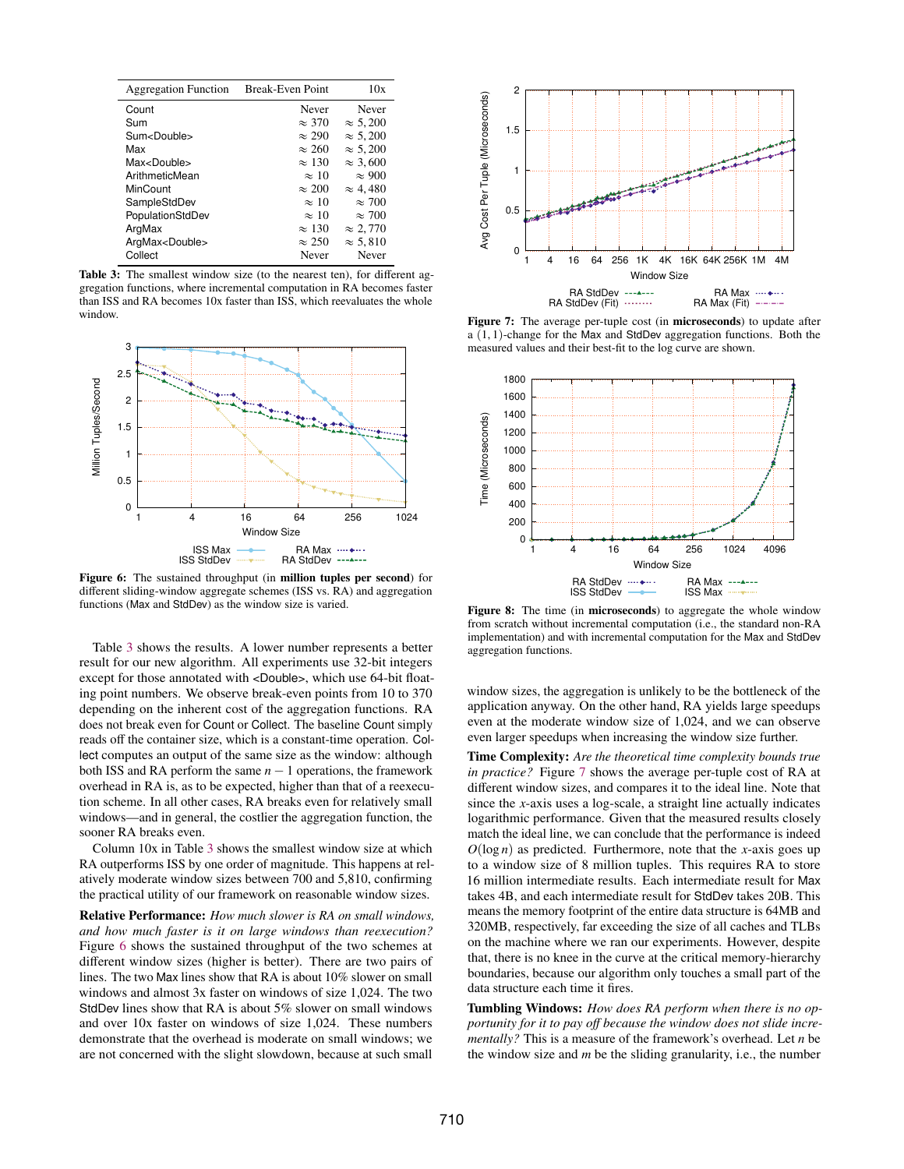<span id="page-8-0"></span>

| <b>Aggregation Function</b> | Break-Even Point | 10x             |
|-----------------------------|------------------|-----------------|
| Count                       | Never            | Never           |
| Sum                         | $\approx$ 370    | $\approx 5,200$ |
| Sum <double></double>       | $\approx 290$    | $\approx 5.200$ |
| Max                         | $\approx 260$    | $\approx 5.200$ |
| Max <double></double>       | $\approx 130$    | $\approx 3.600$ |
| ArithmeticMean              | $\approx 10$     | $\approx 900$   |
| MinCount                    | $\approx 200$    | $\approx 4.480$ |
| SampleStdDev                | $\approx 10$     | $\approx 700$   |
| PopulationStdDev            | $\approx 10$     | $\approx 700$   |
| ArgMax                      | $\approx 130$    | $\approx 2.770$ |
| ArgMax <double></double>    | $\approx 250$    | $\approx 5.810$ |
| Collect                     | Never            | Never           |

Table 3: The smallest window size (to the nearest ten), for different aggregation functions, where incremental computation in RA becomes faster than ISS and RA becomes 10x faster than ISS, which reevaluates the whole window.

<span id="page-8-1"></span>

Figure 6: The sustained throughput (in million tuples per second) for different sliding-window aggregate schemes (ISS vs. RA) and aggregation functions (Max and StdDev) as the window size is varied.

Table [3](#page-8-0) shows the results. A lower number represents a better result for our new algorithm. All experiments use 32-bit integers except for those annotated with <Double>, which use 64-bit floating point numbers. We observe break-even points from 10 to 370 depending on the inherent cost of the aggregation functions. RA does not break even for Count or Collect. The baseline Count simply reads off the container size, which is a constant-time operation. Collect computes an output of the same size as the window: although both ISS and RA perform the same  $n - 1$  operations, the framework overhead in RA is, as to be expected, higher than that of a reexecution scheme. In all other cases, RA breaks even for relatively small windows—and in general, the costlier the aggregation function, the sooner RA breaks even.

Column 10x in Table [3](#page-8-0) shows the smallest window size at which RA outperforms ISS by one order of magnitude. This happens at relatively moderate window sizes between 700 and 5,810, confirming the practical utility of our framework on reasonable window sizes.

Relative Performance: *How much slower is RA on small windows, and how much faster is it on large windows than reexecution?* Figure [6](#page-8-1) shows the sustained throughput of the two schemes at different window sizes (higher is better). There are two pairs of lines. The two Max lines show that RA is about 10% slower on small windows and almost 3x faster on windows of size 1,024. The two StdDev lines show that RA is about 5% slower on small windows and over 10x faster on windows of size 1,024. These numbers demonstrate that the overhead is moderate on small windows; we are not concerned with the slight slowdown, because at such small

<span id="page-8-2"></span>

Figure 7: The average per-tuple cost (in microseconds) to update after a  $(1, 1)$ -change for the Max and StdDev aggregation functions. Both the measured values and their best-fit to the log curve are shown.

<span id="page-8-3"></span>

Figure 8: The time (in microseconds) to aggregate the whole window from scratch without incremental computation (i.e., the standard non-RA implementation) and with incremental computation for the Max and StdDev aggregation functions.

window sizes, the aggregation is unlikely to be the bottleneck of the application anyway. On the other hand, RA yields large speedups even at the moderate window size of 1,024, and we can observe even larger speedups when increasing the window size further.

Time Complexity: *Are the theoretical time complexity bounds true in practice?* Figure [7](#page-8-2) shows the average per-tuple cost of RA at different window sizes, and compares it to the ideal line. Note that since the *x*-axis uses a log-scale, a straight line actually indicates logarithmic performance. Given that the measured results closely match the ideal line, we can conclude that the performance is indeed  $O(\log n)$  as predicted. Furthermore, note that the *x*-axis goes up to a window size of 8 million tuples. This requires RA to store 16 million intermediate results. Each intermediate result for Max takes 4B, and each intermediate result for StdDev takes 20B. This means the memory footprint of the entire data structure is 64MB and 320MB, respectively, far exceeding the size of all caches and TLBs on the machine where we ran our experiments. However, despite that, there is no knee in the curve at the critical memory-hierarchy boundaries, because our algorithm only touches a small part of the data structure each time it fires.

Tumbling Windows: *How does RA perform when there is no opportunity for it to pay o*ff *because the window does not slide incrementally?* This is a measure of the framework's overhead. Let *n* be the window size and *m* be the sliding granularity, i.e., the number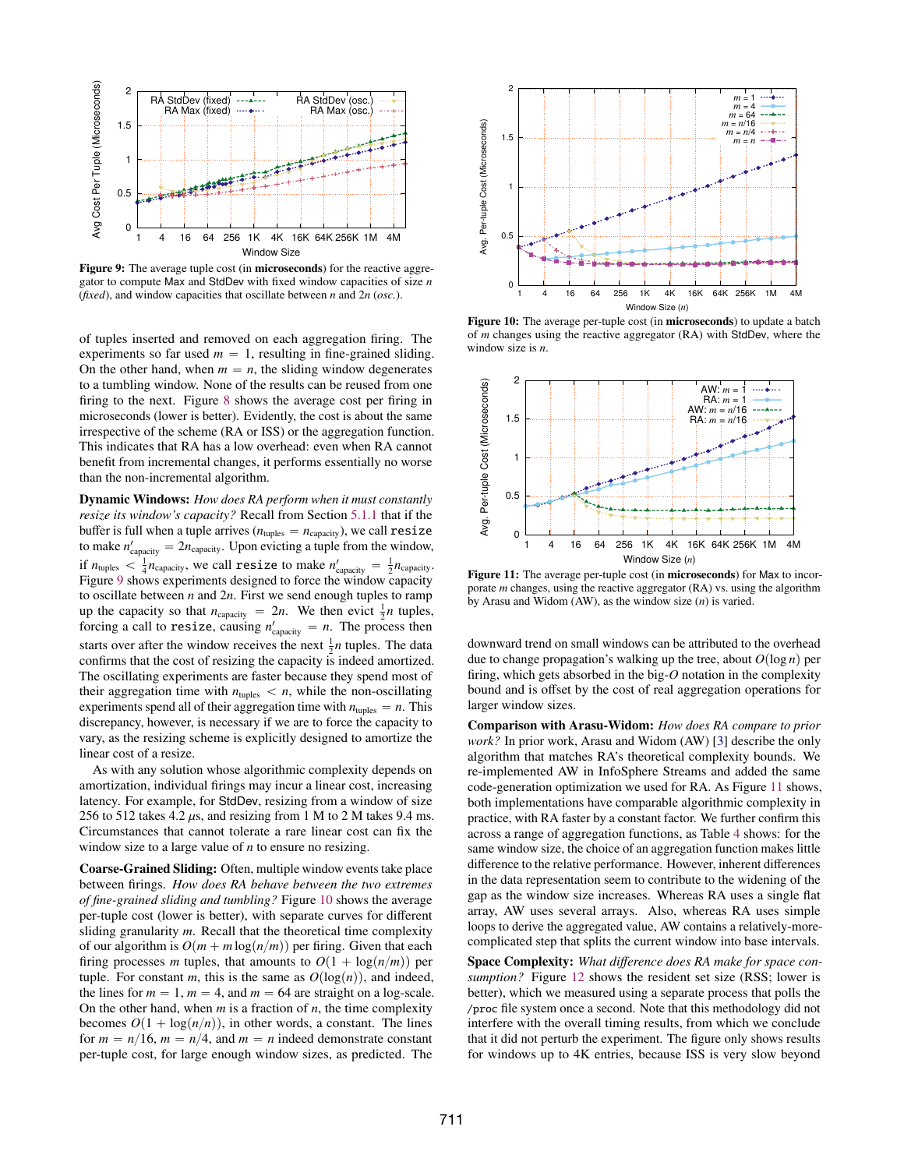<span id="page-9-0"></span>

Figure 9: The average tuple cost (in microseconds) for the reactive aggregator to compute Max and StdDev with fixed window capacities of size *n* (*fixed*), and window capacities that oscillate between *n* and 2*n* (*osc.*).

of tuples inserted and removed on each aggregation firing. The experiments so far used  $m = 1$ , resulting in fine-grained sliding. On the other hand, when  $m = n$ , the sliding window degenerates to a tumbling window. None of the results can be reused from one firing to the next. Figure [8](#page-8-3) shows the average cost per firing in microseconds (lower is better). Evidently, the cost is about the same irrespective of the scheme (RA or ISS) or the aggregation function. This indicates that RA has a low overhead: even when RA cannot benefit from incremental changes, it performs essentially no worse than the non-incremental algorithm.

Dynamic Windows: *How does RA perform when it must constantly resize its window's capacity?* Recall from Section [5.1.1](#page-6-1) that if the buffer is full when a tuple arrives ( $n_{\text{tuples}} = n_{\text{capacity}}$ ), we call resize to make  $n'_{\text{capacity}} = 2n_{\text{capacity}}$ . Upon evicting a tuple from the window, if  $n_{\text{tuples}} < \frac{1}{4} n_{\text{capacity}}$ , we call resize to make  $n'_{\text{capacity}} = \frac{1}{2} n_{\text{capacity}}$ . Figure [9](#page-9-0) shows experiments designed to force the window capacity to oscillate between  $n$  and  $2n$ . First we send enough tuples to ramp up the capacity so that  $n_{\text{capacity}} = 2n$ . We then evict  $\frac{1}{2}n$  tuples, forcing a call to **resize**, causing  $n'_{\text{capacity}} = n$ . The process then starts over after the window receives the next  $\frac{1}{2}n$  tuples. The data confirms that the cost of resizing the capacity is indeed amortized. The oscillating experiments are faster because they spend most of their aggregation time with  $n_{\text{tuples}} < n$ , while the non-oscillating experiments spend all of their aggregation time with  $n_{\text{tuples}} = n$ . This discrepancy, however, is necessary if we are to force the capacity to vary, as the resizing scheme is explicitly designed to amortize the linear cost of a resize.

As with any solution whose algorithmic complexity depends on amortization, individual firings may incur a linear cost, increasing latency. For example, for StdDev, resizing from a window of size 256 to 512 takes 4.2  $\mu$ s, and resizing from 1 M to 2 M takes 9.4 ms. Circumstances that cannot tolerate a rare linear cost can fix the window size to a large value of *n* to ensure no resizing.

Coarse-Grained Sliding: Often, multiple window events take place between firings. *How does RA behave between the two extremes of fine-grained sliding and tumbling?* Figure [10](#page-9-1) shows the average per-tuple cost (lower is better), with separate curves for different sliding granularity *m*. Recall that the theoretical time complexity of our algorithm is  $O(m + m \log(n/m))$  per firing. Given that each firing processes *m* tuples, that amounts to  $O(1 + \log(n/m))$  per tuple. For constant *m*, this is the same as  $O(log(n))$ , and indeed, the lines for  $m = 1$ ,  $m = 4$ , and  $m = 64$  are straight on a log-scale. On the other hand, when *m* is a fraction of *n*, the time complexity becomes  $O(1 + \log(n/n))$ , in other words, a constant. The lines for  $m = n/16$ ,  $m = n/4$ , and  $m = n$  indeed demonstrate constant per-tuple cost, for large enough window sizes, as predicted. The

<span id="page-9-1"></span>

Figure 10: The average per-tuple cost (in microseconds) to update a batch of *m* changes using the reactive aggregator (RA) with StdDev, where the window size is *n*.

<span id="page-9-2"></span>

Figure 11: The average per-tuple cost (in microseconds) for Max to incorporate *m* changes, using the reactive aggregator (RA) vs. using the algorithm by Arasu and Widom (AW), as the window size (*n*) is varied.

downward trend on small windows can be attributed to the overhead due to change propagation's walking up the tree, about  $O(\log n)$  per firing, which gets absorbed in the big-*O* notation in the complexity bound and is offset by the cost of real aggregation operations for larger window sizes.

Comparison with Arasu-Widom: *How does RA compare to prior work?* In prior work, Arasu and Widom (AW) [\[3\]](#page-11-8) describe the only algorithm that matches RA's theoretical complexity bounds. We re-implemented AW in InfoSphere Streams and added the same code-generation optimization we used for RA. As Figure [11](#page-9-2) shows, both implementations have comparable algorithmic complexity in practice, with RA faster by a constant factor. We further confirm this across a range of aggregation functions, as Table [4](#page-10-0) shows: for the same window size, the choice of an aggregation function makes little difference to the relative performance. However, inherent differences in the data representation seem to contribute to the widening of the gap as the window size increases. Whereas RA uses a single flat array, AW uses several arrays. Also, whereas RA uses simple loops to derive the aggregated value, AW contains a relatively-morecomplicated step that splits the current window into base intervals.

Space Complexity: *What di*ff*erence does RA make for space consumption?* Figure [12](#page-10-1) shows the resident set size (RSS; lower is better), which we measured using a separate process that polls the /proc file system once a second. Note that this methodology did not interfere with the overall timing results, from which we conclude that it did not perturb the experiment. The figure only shows results for windows up to 4K entries, because ISS is very slow beyond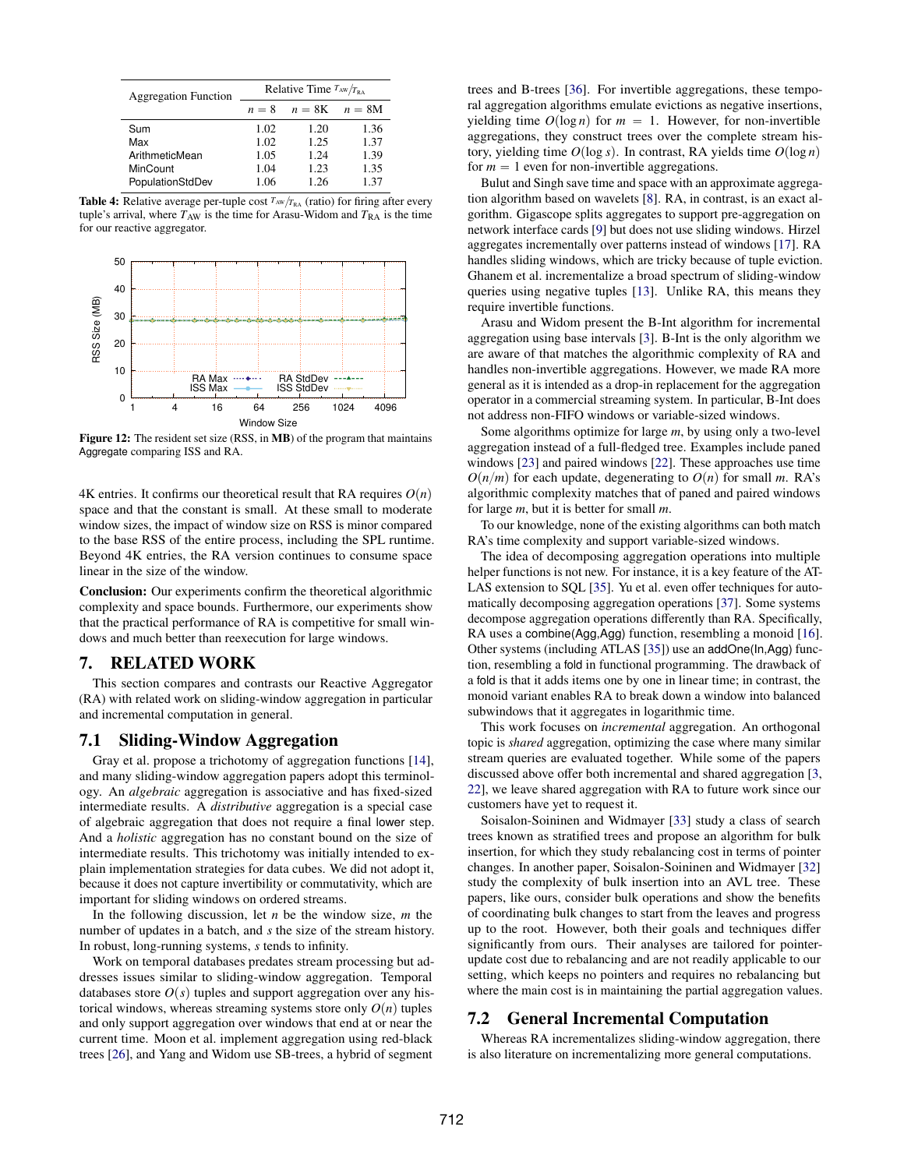<span id="page-10-0"></span>

| <b>Aggregation Function</b> | Relative Time $T_{AW}/T_{RA}$ |      |                   |
|-----------------------------|-------------------------------|------|-------------------|
|                             | $n = 8$                       |      | $n = 8K$ $n = 8M$ |
| Sum                         | 1.02                          | 1.20 | 1.36              |
| Max                         | 1.02                          | 1.25 | 1.37              |
| ArithmeticMean              | 1.05                          | 1.24 | 1.39              |
| MinCount                    | 1.04                          | 1.23 | 1.35              |
| PopulationStdDev            | 1.06                          | 1.26 | 1.37              |

**Table 4:** Relative average per-tuple cost  $T_{AW}/T_{RA}$  (ratio) for firing after every tuple's arrival, where  $T_{AW}$  is the time for Arasu-Widom and  $T_{RA}$  is the time for our reactive aggregator.

<span id="page-10-1"></span>

Figure 12: The resident set size (RSS, in MB) of the program that maintains Aggregate comparing ISS and RA.

4K entries. It confirms our theoretical result that RA requires  $O(n)$ space and that the constant is small. At these small to moderate window sizes, the impact of window size on RSS is minor compared to the base RSS of the entire process, including the SPL runtime. Beyond 4K entries, the RA version continues to consume space linear in the size of the window.

Conclusion: Our experiments confirm the theoretical algorithmic complexity and space bounds. Furthermore, our experiments show that the practical performance of RA is competitive for small windows and much better than reexecution for large windows.

## 7. RELATED WORK

This section compares and contrasts our Reactive Aggregator (RA) with related work on sliding-window aggregation in particular and incremental computation in general.

### 7.1 Sliding-Window Aggregation

Gray et al. propose a trichotomy of aggregation functions [\[14\]](#page-11-19), and many sliding-window aggregation papers adopt this terminology. An *algebraic* aggregation is associative and has fixed-sized intermediate results. A *distributive* aggregation is a special case of algebraic aggregation that does not require a final lower step. And a *holistic* aggregation has no constant bound on the size of intermediate results. This trichotomy was initially intended to explain implementation strategies for data cubes. We did not adopt it, because it does not capture invertibility or commutativity, which are important for sliding windows on ordered streams.

In the following discussion, let *n* be the window size, *m* the number of updates in a batch, and *s* the size of the stream history. In robust, long-running systems, *s* tends to infinity.

Work on temporal databases predates stream processing but addresses issues similar to sliding-window aggregation. Temporal databases store  $O(s)$  tuples and support aggregation over any historical windows, whereas streaming systems store only  $O(n)$  tuples and only support aggregation over windows that end at or near the current time. Moon et al. implement aggregation using red-black trees [\[26\]](#page-11-9), and Yang and Widom use SB-trees, a hybrid of segment trees and B-trees [\[36\]](#page-11-10). For invertible aggregations, these temporal aggregation algorithms emulate evictions as negative insertions, yielding time  $O(\log n)$  for  $m = 1$ . However, for non-invertible aggregations, they construct trees over the complete stream history, yielding time  $O(\log s)$ . In contrast, RA yields time  $O(\log n)$ for  $m = 1$  even for non-invertible aggregations.

Bulut and Singh save time and space with an approximate aggregation algorithm based on wavelets [\[8\]](#page-11-20). RA, in contrast, is an exact algorithm. Gigascope splits aggregates to support pre-aggregation on network interface cards [\[9\]](#page-11-1) but does not use sliding windows. Hirzel aggregates incrementally over patterns instead of windows [\[17\]](#page-11-21). RA handles sliding windows, which are tricky because of tuple eviction. Ghanem et al. incrementalize a broad spectrum of sliding-window queries using negative tuples [\[13\]](#page-11-22). Unlike RA, this means they require invertible functions.

Arasu and Widom present the B-Int algorithm for incremental aggregation using base intervals [\[3\]](#page-11-8). B-Int is the only algorithm we are aware of that matches the algorithmic complexity of RA and handles non-invertible aggregations. However, we made RA more general as it is intended as a drop-in replacement for the aggregation operator in a commercial streaming system. In particular, B-Int does not address non-FIFO windows or variable-sized windows.

Some algorithms optimize for large *m*, by using only a two-level aggregation instead of a full-fledged tree. Examples include paned windows [\[23\]](#page-11-12) and paired windows [\[22\]](#page-11-11). These approaches use time  $O(n/m)$  for each update, degenerating to  $O(n)$  for small *m*. RA's algorithmic complexity matches that of paned and paired windows for large *m*, but it is better for small *m*.

To our knowledge, none of the existing algorithms can both match RA's time complexity and support variable-sized windows.

The idea of decomposing aggregation operations into multiple helper functions is not new. For instance, it is a key feature of the AT-LAS extension to SQL [\[35\]](#page-11-23). Yu et al. even offer techniques for automatically decomposing aggregation operations [\[37\]](#page-11-24). Some systems decompose aggregation operations differently than RA. Specifically, RA uses a combine(Agg,Agg) function, resembling a monoid [\[16\]](#page-11-25). Other systems (including ATLAS [\[35\]](#page-11-23)) use an addOne(In,Agg) function, resembling a fold in functional programming. The drawback of a fold is that it adds items one by one in linear time; in contrast, the monoid variant enables RA to break down a window into balanced subwindows that it aggregates in logarithmic time.

This work focuses on *incremental* aggregation. An orthogonal topic is *shared* aggregation, optimizing the case where many similar stream queries are evaluated together. While some of the papers discussed above offer both incremental and shared aggregation [\[3,](#page-11-8) [22\]](#page-11-11), we leave shared aggregation with RA to future work since our customers have yet to request it.

Soisalon-Soininen and Widmayer [\[33\]](#page-11-16) study a class of search trees known as stratified trees and propose an algorithm for bulk insertion, for which they study rebalancing cost in terms of pointer changes. In another paper, Soisalon-Soininen and Widmayer [\[32\]](#page-11-26) study the complexity of bulk insertion into an AVL tree. These papers, like ours, consider bulk operations and show the benefits of coordinating bulk changes to start from the leaves and progress up to the root. However, both their goals and techniques differ significantly from ours. Their analyses are tailored for pointerupdate cost due to rebalancing and are not readily applicable to our setting, which keeps no pointers and requires no rebalancing but where the main cost is in maintaining the partial aggregation values.

#### 7.2 General Incremental Computation

Whereas RA incrementalizes sliding-window aggregation, there is also literature on incrementalizing more general computations.